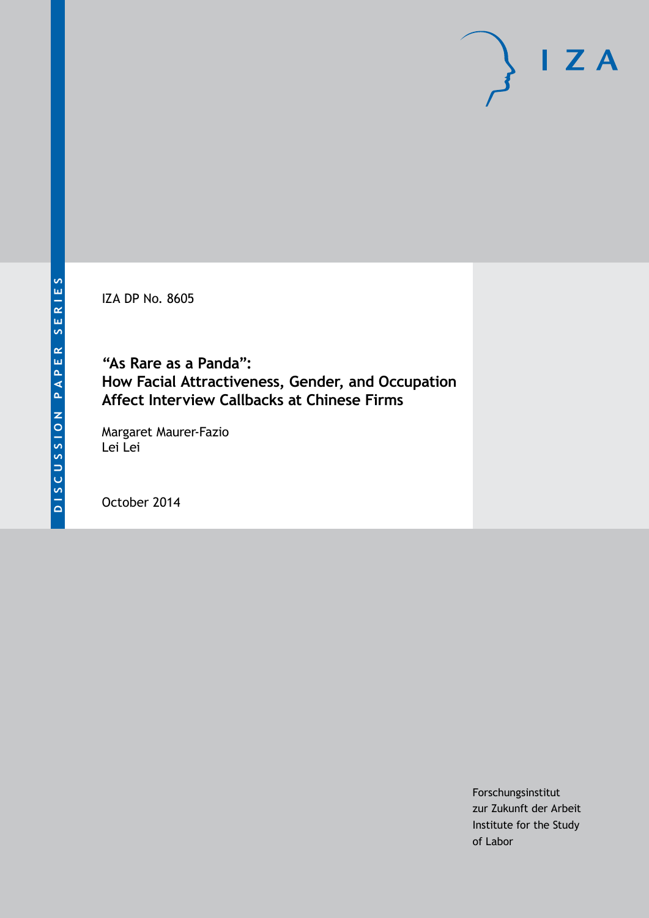IZA DP No. 8605

## **"As Rare as a Panda": How Facial Attractiveness, Gender, and Occupation Affect Interview Callbacks at Chinese Firms**

Margaret Maurer-Fazio Lei Lei

October 2014

Forschungsinstitut zur Zukunft der Arbeit Institute for the Study of Labor

 $I Z A$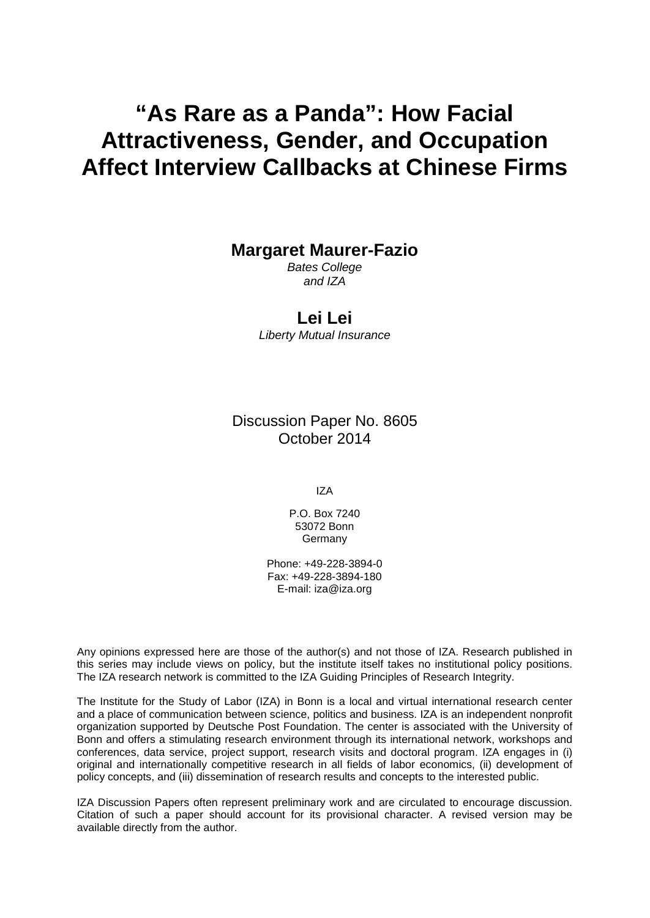# **"As Rare as a Panda": How Facial Attractiveness, Gender, and Occupation Affect Interview Callbacks at Chinese Firms**

#### **Margaret Maurer-Fazio**

*Bates College and IZA*

#### **Lei Lei**

*Liberty Mutual Insurance*

Discussion Paper No. 8605 October 2014

IZA

P.O. Box 7240 53072 Bonn **Germany** 

Phone: +49-228-3894-0 Fax: +49-228-3894-180 E-mail: [iza@iza.org](mailto:iza@iza.org)

Any opinions expressed here are those of the author(s) and not those of IZA. Research published in this series may include views on policy, but the institute itself takes no institutional policy positions. The IZA research network is committed to the IZA Guiding Principles of Research Integrity.

The Institute for the Study of Labor (IZA) in Bonn is a local and virtual international research center and a place of communication between science, politics and business. IZA is an independent nonprofit organization supported by Deutsche Post Foundation. The center is associated with the University of Bonn and offers a stimulating research environment through its international network, workshops and conferences, data service, project support, research visits and doctoral program. IZA engages in (i) original and internationally competitive research in all fields of labor economics, (ii) development of policy concepts, and (iii) dissemination of research results and concepts to the interested public.

<span id="page-1-0"></span>IZA Discussion Papers often represent preliminary work and are circulated to encourage discussion. Citation of such a paper should account for its provisional character. A revised version may be available directly from the author.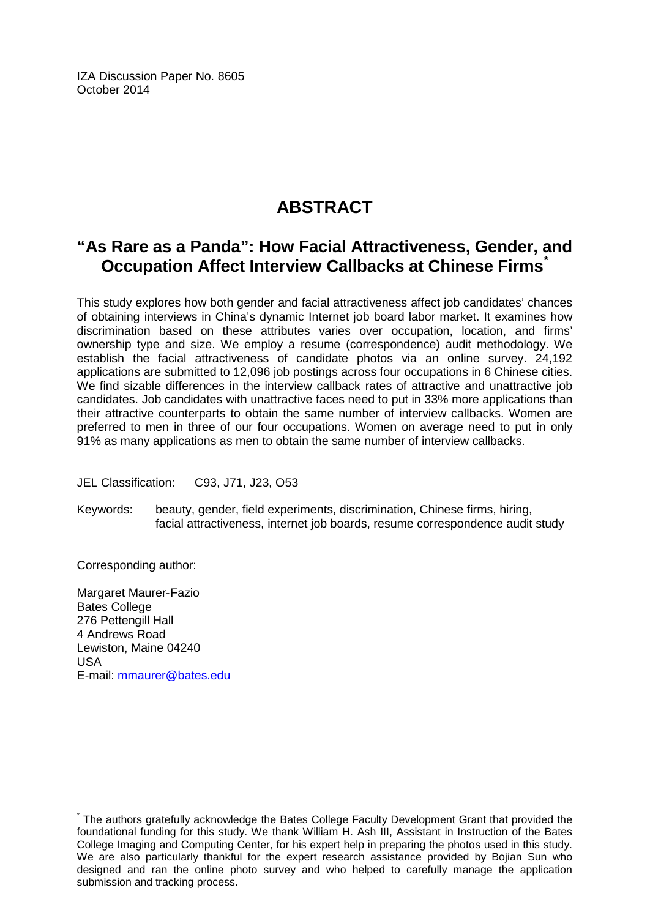IZA Discussion Paper No. 8605 October 2014

## **ABSTRACT**

## **"As Rare as a Panda": How Facial Attractiveness, Gender, and Occupation Affect Interview Callbacks at Chinese Firms[\\*](#page-1-0)**

This study explores how both gender and facial attractiveness affect job candidates' chances of obtaining interviews in China's dynamic Internet job board labor market. It examines how discrimination based on these attributes varies over occupation, location, and firms' ownership type and size. We employ a resume (correspondence) audit methodology. We establish the facial attractiveness of candidate photos via an online survey. 24,192 applications are submitted to 12,096 job postings across four occupations in 6 Chinese cities. We find sizable differences in the interview callback rates of attractive and unattractive job candidates. Job candidates with unattractive faces need to put in 33% more applications than their attractive counterparts to obtain the same number of interview callbacks. Women are preferred to men in three of our four occupations. Women on average need to put in only 91% as many applications as men to obtain the same number of interview callbacks.

JEL Classification: C93, J71, J23, O53

Keywords: beauty, gender, field experiments, discrimination, Chinese firms, hiring, facial attractiveness, internet job boards, resume correspondence audit study

Corresponding author:

Margaret Maurer‐Fazio Bates College 276 Pettengill Hall 4 Andrews Road Lewiston, Maine 04240 USA E-mail: [mmaurer@bates.edu](mailto:mmaurer@bates.edu)

\* The authors gratefully acknowledge the Bates College Faculty Development Grant that provided the foundational funding for this study. We thank William H. Ash III, Assistant in Instruction of the Bates College Imaging and Computing Center, for his expert help in preparing the photos used in this study. We are also particularly thankful for the expert research assistance provided by Bojian Sun who designed and ran the online photo survey and who helped to carefully manage the application submission and tracking process.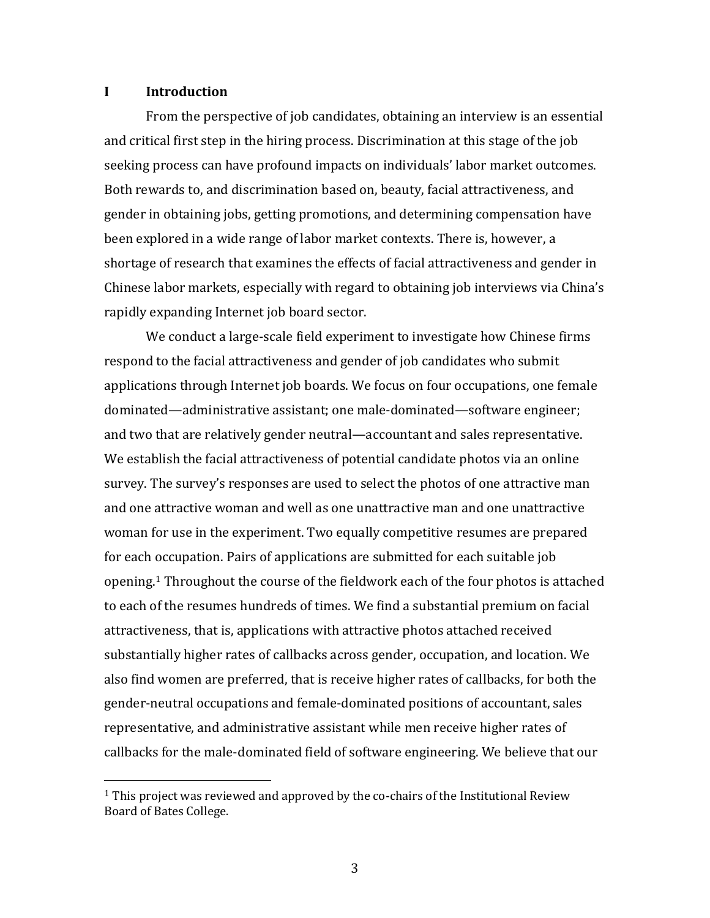#### **I Introduction**

From the perspective of job candidates, obtaining an interview is an essential and critical first step in the hiring process. Discrimination at this stage of the job seeking process can have profound impacts on individuals' labor market outcomes. Both rewards to, and discrimination based on, beauty, facial attractiveness, and gender in obtaining jobs, getting promotions, and determining compensation have been explored in a wide range of labor market contexts. There is, however, a shortage of research that examines the effects of facial attractiveness and gender in Chinese labor markets, especially with regard to obtaining job interviews via China's rapidly expanding Internet job board sector.

We conduct a large-scale field experiment to investigate how Chinese firms respond to the facial attractiveness and gender of job candidates who submit applications through Internet job boards. We focus on four occupations, one female dominated—administrative assistant; one male-dominated—software engineer; and two that are relatively gender neutral—accountant and sales representative. We establish the facial attractiveness of potential candidate photos via an online survey. The survey's responses are used to select the photos of one attractive man and one attractive woman and well as one unattractive man and one unattractive woman for use in the experiment. Two equally competitive resumes are prepared for each occupation. Pairs of applications are submitted for each suitable job opening.1 Throughout the course of the fieldwork each of the four photos is attached to each of the resumes hundreds of times. We find a substantial premium on facial attractiveness, that is, applications with attractive photos attached received substantially higher rates of callbacks across gender, occupation, and location. We also find women are preferred, that is receive higher rates of callbacks, for both the gender-neutral occupations and female-dominated positions of accountant, sales representative, and administrative assistant while men receive higher rates of callbacks for the male-dominated field of software engineering. We believe that our

<span id="page-3-0"></span> $1$  This project was reviewed and approved by the co-chairs of the Institutional Review Board of Bates College.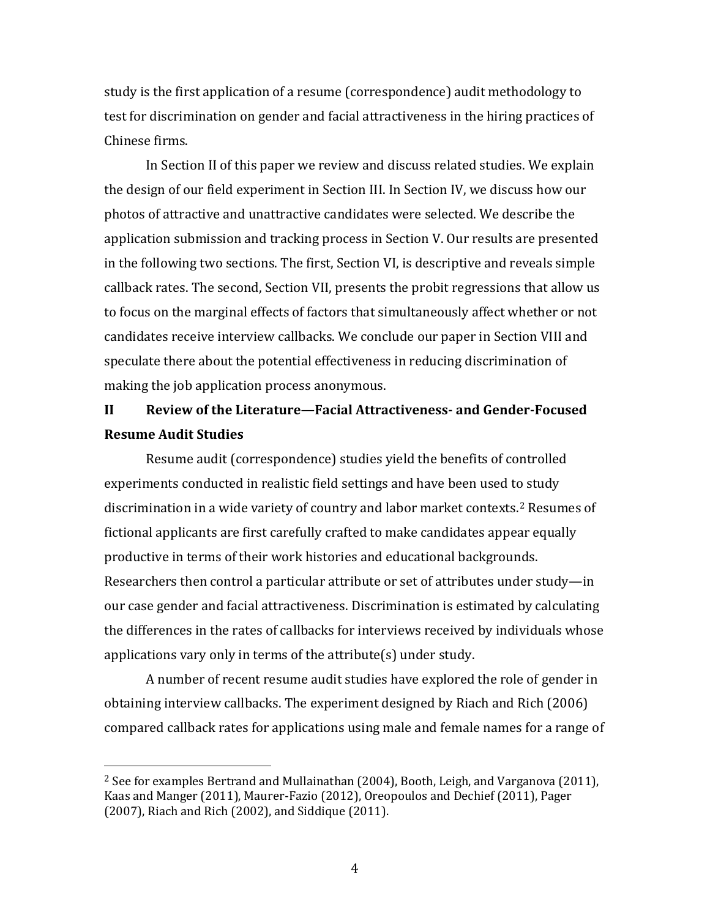study is the first application of a resume (correspondence) audit methodology to test for discrimination on gender and facial attractiveness in the hiring practices of Chinese firms.

In Section II of this paper we review and discuss related studies. We explain the design of our field experiment in Section III. In Section IV, we discuss how our photos of attractive and unattractive candidates were selected. We describe the application submission and tracking process in Section V. Our results are presented in the following two sections. The first, Section VI, is descriptive and reveals simple callback rates. The second, Section VII, presents the probit regressions that allow us to focus on the marginal effects of factors that simultaneously affect whether or not candidates receive interview callbacks. We conclude our paper in Section VIII and speculate there about the potential effectiveness in reducing discrimination of making the job application process anonymous.

## **II Review of the Literature—Facial Attractiveness- and Gender-Focused Resume Audit Studies**

Resume audit (correspondence) studies yield the benefits of controlled experiments conducted in realistic field settings and have been used to study discrimination in a wide variety of country and labor market contexts.[2](#page-3-0) Resumes of fictional applicants are first carefully crafted to make candidates appear equally productive in terms of their work histories and educational backgrounds. Researchers then control a particular attribute or set of attributes under study—in our case gender and facial attractiveness. Discrimination is estimated by calculating the differences in the rates of callbacks for interviews received by individuals whose applications vary only in terms of the attribute(s) under study.

<span id="page-4-0"></span>A number of recent resume audit studies have explored the role of gender in obtaining interview callbacks. The experiment designed by Riach and Rich (2006) compared callback rates for applications using male and female names for a range of

<sup>&</sup>lt;sup>2</sup> See for examples Bertrand and Mullainathan (2004), Booth, Leigh, and Varganova (2011), Kaas and Manger (2011), Maurer-Fazio (2012), Oreopoulos and Dechief (2011), Pager (2007), Riach and Rich (2002), and Siddique (2011).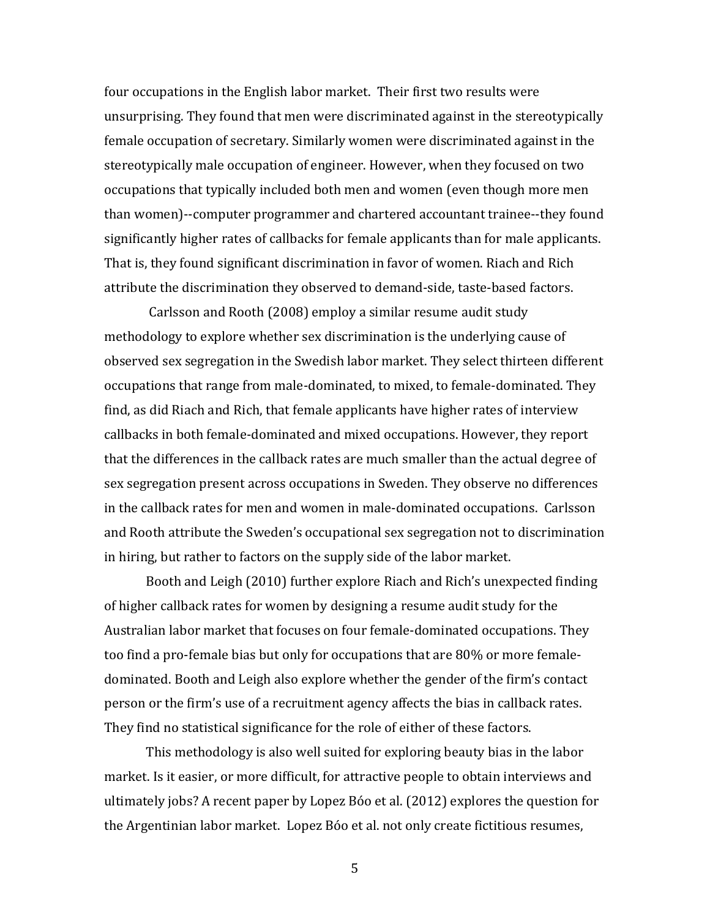four occupations in the English labor market. Their first two results were unsurprising. They found that men were discriminated against in the stereotypically female occupation of secretary. Similarly women were discriminated against in the stereotypically male occupation of engineer. However, when they focused on two occupations that typically included both men and women (even though more men than women)--computer programmer and chartered accountant trainee--they found significantly higher rates of callbacks for female applicants than for male applicants. That is, they found significant discrimination in favor of women. Riach and Rich attribute the discrimination they observed to demand-side, taste-based factors.

Carlsson and Rooth (2008) employ a similar resume audit study methodology to explore whether sex discrimination is the underlying cause of observed sex segregation in the Swedish labor market. They select thirteen different occupations that range from male-dominated, to mixed, to female-dominated. They find, as did Riach and Rich, that female applicants have higher rates of interview callbacks in both female-dominated and mixed occupations. However, they report that the differences in the callback rates are much smaller than the actual degree of sex segregation present across occupations in Sweden. They observe no differences in the callback rates for men and women in male-dominated occupations. Carlsson and Rooth attribute the Sweden's occupational sex segregation not to discrimination in hiring, but rather to factors on the supply side of the labor market.

Booth and Leigh (2010) further explore Riach and Rich's unexpected finding of higher callback rates for women by designing a resume audit study for the Australian labor market that focuses on four female-dominated occupations. They too find a pro-female bias but only for occupations that are 80% or more femaledominated. Booth and Leigh also explore whether the gender of the firm's contact person or the firm's use of a recruitment agency affects the bias in callback rates. They find no statistical significance for the role of either of these factors.

This methodology is also well suited for exploring beauty bias in the labor market. Is it easier, or more difficult, for attractive people to obtain interviews and ultimately jobs? A recent paper by Lopez Bóo et al. (2012) explores the question for the Argentinian labor market. Lopez Bóo et al. not only create fictitious resumes,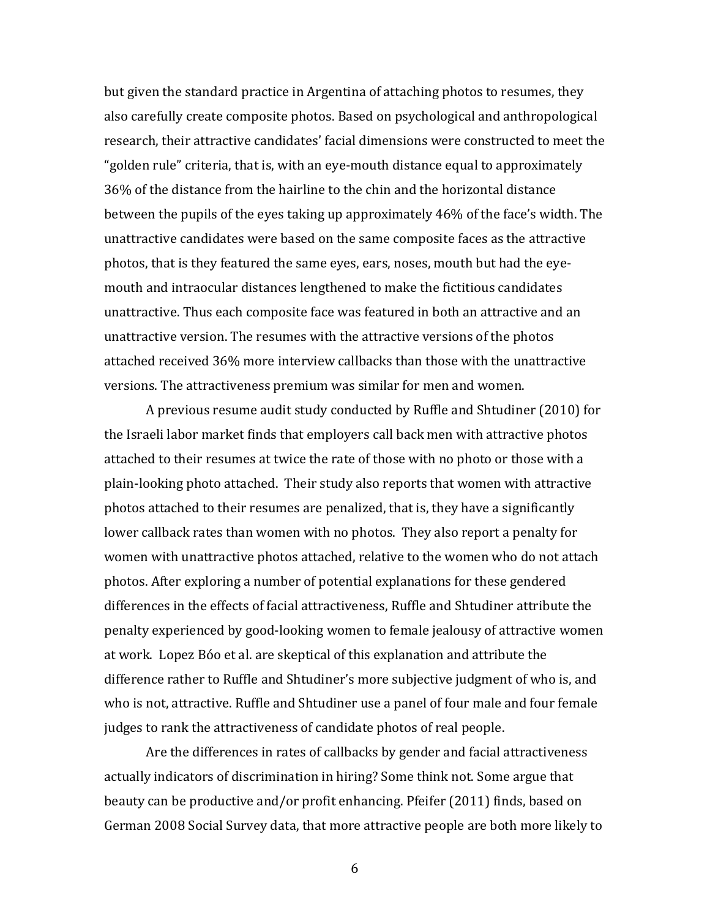but given the standard practice in Argentina of attaching photos to resumes, they also carefully create composite photos. Based on psychological and anthropological research, their attractive candidates' facial dimensions were constructed to meet the "golden rule" criteria, that is, with an eye-mouth distance equal to approximately 36% of the distance from the hairline to the chin and the horizontal distance between the pupils of the eyes taking up approximately 46% of the face's width. The unattractive candidates were based on the same composite faces as the attractive photos, that is they featured the same eyes, ears, noses, mouth but had the eyemouth and intraocular distances lengthened to make the fictitious candidates unattractive. Thus each composite face was featured in both an attractive and an unattractive version. The resumes with the attractive versions of the photos attached received 36% more interview callbacks than those with the unattractive versions. The attractiveness premium was similar for men and women.

A previous resume audit study conducted by Ruffle and Shtudiner (2010) for the Israeli labor market finds that employers call back men with attractive photos attached to their resumes at twice the rate of those with no photo or those with a plain-looking photo attached. Their study also reports that women with attractive photos attached to their resumes are penalized, that is, they have a significantly lower callback rates than women with no photos. They also report a penalty for women with unattractive photos attached, relative to the women who do not attach photos. After exploring a number of potential explanations for these gendered differences in the effects of facial attractiveness, Ruffle and Shtudiner attribute the penalty experienced by good-looking women to female jealousy of attractive women at work. Lopez Bóo et al. are skeptical of this explanation and attribute the difference rather to Ruffle and Shtudiner's more subjective judgment of who is, and who is not, attractive. Ruffle and Shtudiner use a panel of four male and four female judges to rank the attractiveness of candidate photos of real people.

Are the differences in rates of callbacks by gender and facial attractiveness actually indicators of discrimination in hiring? Some think not. Some argue that beauty can be productive and/or profit enhancing. Pfeifer (2011) finds, based on German 2008 Social Survey data, that more attractive people are both more likely to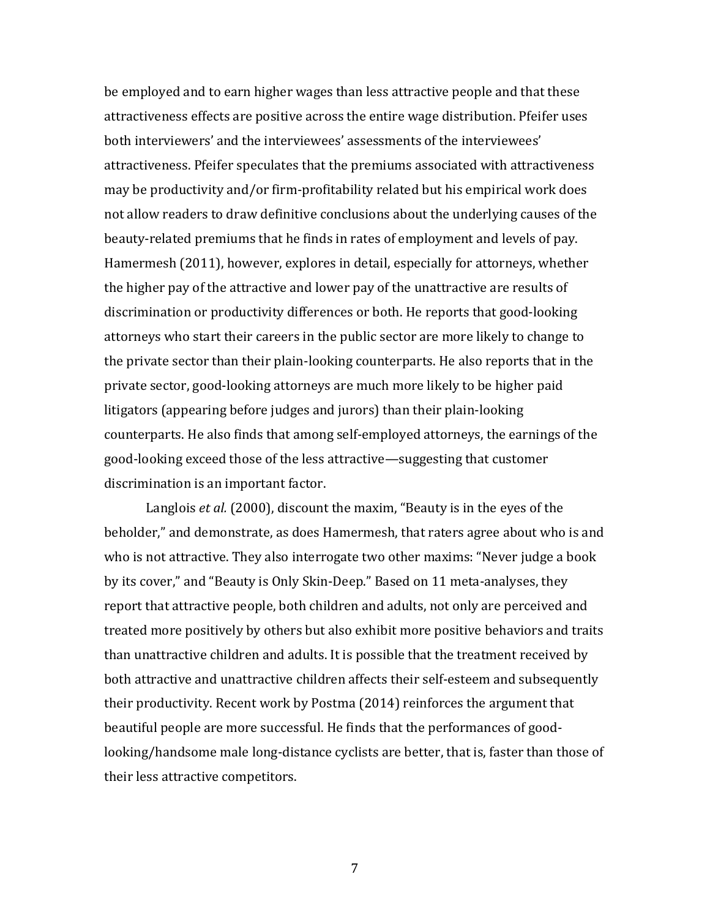be employed and to earn higher wages than less attractive people and that these attractiveness effects are positive across the entire wage distribution. Pfeifer uses both interviewers' and the interviewees' assessments of the interviewees' attractiveness. Pfeifer speculates that the premiums associated with attractiveness may be productivity and/or firm-profitability related but his empirical work does not allow readers to draw definitive conclusions about the underlying causes of the beauty-related premiums that he finds in rates of employment and levels of pay. Hamermesh (2011), however, explores in detail, especially for attorneys, whether the higher pay of the attractive and lower pay of the unattractive are results of discrimination or productivity differences or both. He reports that good-looking attorneys who start their careers in the public sector are more likely to change to the private sector than their plain-looking counterparts. He also reports that in the private sector, good-looking attorneys are much more likely to be higher paid litigators (appearing before judges and jurors) than their plain-looking counterparts. He also finds that among self-employed attorneys, the earnings of the good-looking exceed those of the less attractive—suggesting that customer discrimination is an important factor.

Langlois *et al.* (2000), discount the maxim, "Beauty is in the eyes of the beholder," and demonstrate, as does Hamermesh, that raters agree about who is and who is not attractive. They also interrogate two other maxims: "Never judge a book by its cover," and "Beauty is Only Skin-Deep." Based on 11 meta-analyses, they report that attractive people, both children and adults, not only are perceived and treated more positively by others but also exhibit more positive behaviors and traits than unattractive children and adults. It is possible that the treatment received by both attractive and unattractive children affects their self-esteem and subsequently their productivity. Recent work by Postma (2014) reinforces the argument that beautiful people are more successful. He finds that the performances of goodlooking/handsome male long-distance cyclists are better, that is, faster than those of their less attractive competitors.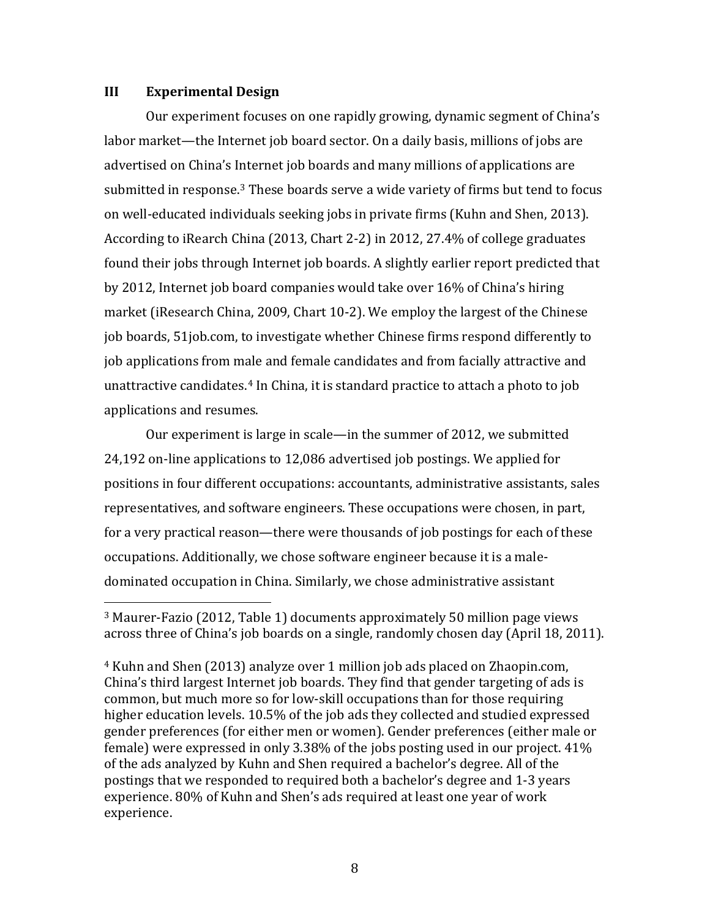#### **III Experimental Design**

Our experiment focuses on one rapidly growing, dynamic segment of China's labor market—the Internet job board sector. On a daily basis, millions of jobs are advertised on China's Internet job boards and many millions of applications are submitted in response.[3](#page-4-0) These boards serve a wide variety of firms but tend to focus on well-educated individuals seeking jobs in private firms (Kuhn and Shen, 2013). According to iRearch China (2013, Chart 2-2) in 2012, 27.4% of college graduates found their jobs through Internet job boards. A slightly earlier report predicted that by 2012, Internet job board companies would take over 16% of China's hiring market (iResearch China, 2009, Chart 10-2). We employ the largest of the Chinese job boards, 51job.com, to investigate whether Chinese firms respond differently to job applications from male and female candidates and from facially attractive and unattractive candidates.[4](#page-8-0) In China, it is standard practice to attach a photo to job applications and resumes.

Our experiment is large in scale—in the summer of 2012, we submitted 24,192 on-line applications to 12,086 advertised job postings. We applied for positions in four different occupations: accountants, administrative assistants, sales representatives, and software engineers. These occupations were chosen, in part, for a very practical reason—there were thousands of job postings for each of these occupations. Additionally, we chose software engineer because it is a maledominated occupation in China. Similarly, we chose administrative assistant

<span id="page-8-1"></span> <sup>3</sup> Maurer-Fazio (2012, Table 1) documents approximately 50 million page views across three of China's job boards on a single, randomly chosen day (April 18, 2011).

<span id="page-8-0"></span><sup>4</sup> Kuhn and Shen (2013) analyze over 1 million job ads placed on Zhaopin.com, China's third largest Internet job boards. They find that gender targeting of ads is common, but much more so for low-skill occupations than for those requiring higher education levels. 10.5% of the job ads they collected and studied expressed gender preferences (for either men or women). Gender preferences (either male or female) were expressed in only 3.38% of the jobs posting used in our project. 41% of the ads analyzed by Kuhn and Shen required a bachelor's degree. All of the postings that we responded to required both a bachelor's degree and 1-3 years experience. 80% of Kuhn and Shen's ads required at least one year of work experience.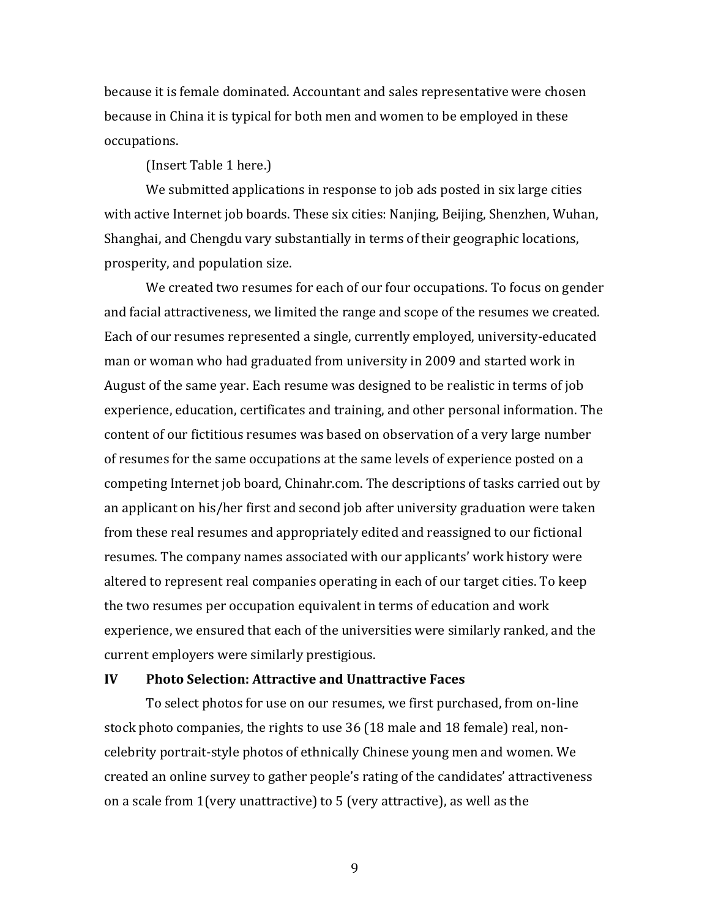because it is female dominated. Accountant and sales representative were chosen because in China it is typical for both men and women to be employed in these occupations.

(Insert Table 1 here.)

We submitted applications in response to job ads posted in six large cities with active Internet job boards. These six cities: Nanjing, Beijing, Shenzhen, Wuhan, Shanghai, and Chengdu vary substantially in terms of their geographic locations, prosperity, and population size.

We created two resumes for each of our four occupations. To focus on gender and facial attractiveness, we limited the range and scope of the resumes we created. Each of our resumes represented a single, currently employed, university-educated man or woman who had graduated from university in 2009 and started work in August of the same year. Each resume was designed to be realistic in terms of job experience, education, certificates and training, and other personal information. The content of our fictitious resumes was based on observation of a very large number of resumes for the same occupations at the same levels of experience posted on a competing Internet job board, Chinahr.com. The descriptions of tasks carried out by an applicant on his/her first and second job after university graduation were taken from these real resumes and appropriately edited and reassigned to our fictional resumes. The company names associated with our applicants' work history were altered to represent real companies operating in each of our target cities. To keep the two resumes per occupation equivalent in terms of education and work experience, we ensured that each of the universities were similarly ranked, and the current employers were similarly prestigious.

#### **IV Photo Selection: Attractive and Unattractive Faces**

To select photos for use on our resumes, we first purchased, from on-line stock photo companies, the rights to use 36 (18 male and 18 female) real, noncelebrity portrait-style photos of ethnically Chinese young men and women. We created an online survey to gather people's rating of the candidates' attractiveness on a scale from 1(very unattractive) to 5 (very attractive), as well as the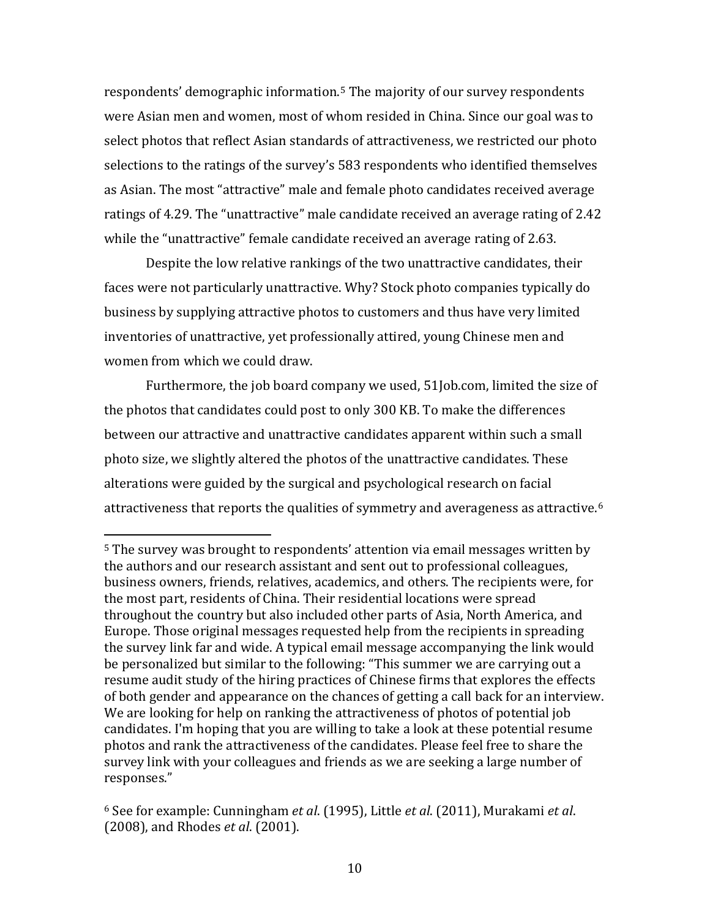respondents' demographic information.<sup>[5](#page-8-1)</sup> The majority of our survey respondents were Asian men and women, most of whom resided in China. Since our goal was to select photos that reflect Asian standards of attractiveness, we restricted our photo selections to the ratings of the survey's 583 respondents who identified themselves as Asian. The most "attractive" male and female photo candidates received average ratings of 4.29. The "unattractive" male candidate received an average rating of 2.42 while the "unattractive" female candidate received an average rating of 2.63.

Despite the low relative rankings of the two unattractive candidates, their faces were not particularly unattractive. Why? Stock photo companies typically do business by supplying attractive photos to customers and thus have very limited inventories of unattractive, yet professionally attired, young Chinese men and women from which we could draw.

Furthermore, the job board company we used, 51Job.com, limited the size of the photos that candidates could post to only 300 KB. To make the differences between our attractive and unattractive candidates apparent within such a small photo size, we slightly altered the photos of the unattractive candidates. These alterations were guided by the surgical and psychological research on facial attractiveness that reports the qualities of symmetry and averageness as attractive. [6](#page-10-0)

 <sup>5</sup> The survey was brought to respondents' attention via email messages written by the authors and our research assistant and sent out to professional colleagues, business owners, friends, relatives, academics, and others. The recipients were, for the most part, residents of China. Their residential locations were spread throughout the country but also included other parts of Asia, North America, and Europe. Those original messages requested help from the recipients in spreading the survey link far and wide. A typical email message accompanying the link would be personalized but similar to the following: "This summer we are carrying out a resume audit study of the hiring practices of Chinese firms that explores the effects of both gender and appearance on the chances of getting a call back for an interview. We are looking for help on ranking the attractiveness of photos of potential job candidates. I'm hoping that you are willing to take a look at these potential resume photos and rank the attractiveness of the candidates. Please feel free to share the survey link with your colleagues and friends as we are seeking a large number of responses."

<span id="page-10-1"></span><span id="page-10-0"></span><sup>6</sup> See for example: Cunningham *et al*. (1995), Little *et al*. (2011), Murakami *et al*. (2008), and Rhodes *et al*. (2001).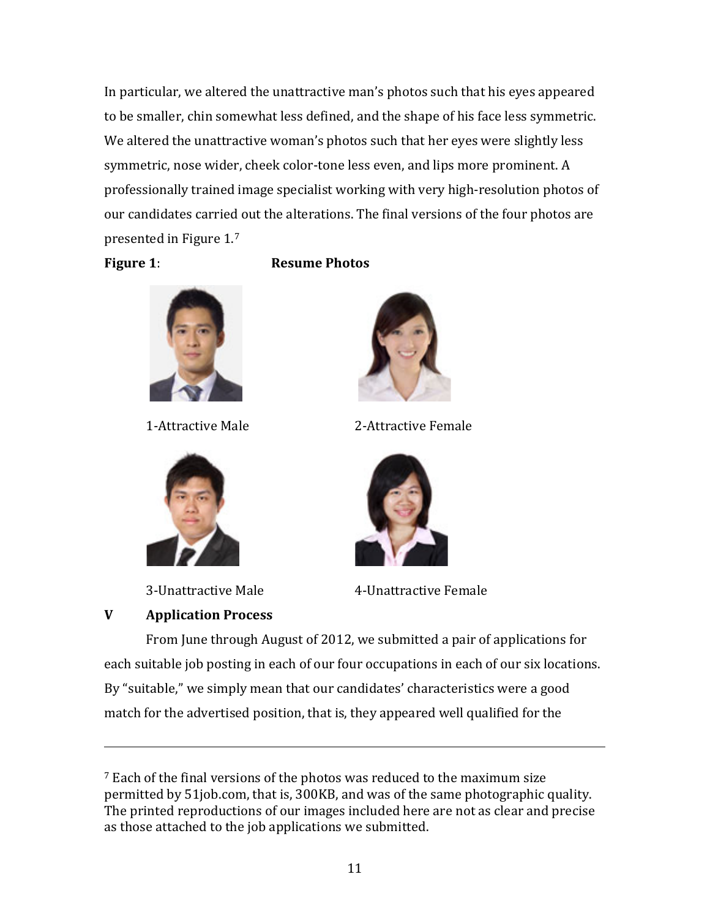In particular, we altered the unattractive man's photos such that his eyes appeared to be smaller, chin somewhat less defined, and the shape of his face less symmetric. We altered the unattractive woman's photos such that her eyes were slightly less symmetric, nose wider, cheek color-tone less even, and lips more prominent. A professionally trained image specialist working with very high-resolution photos of our candidates carried out the alterations. The final versions of the four photos are presented in Figure 1[.7](#page-10-1)

**Figure 1**: **Resume Photos**



1-Attractive Male 2-Attractive Female



3-Unattractive Male 4-Unattractive Female

## **V Application Process**

i<br>I

From June through August of 2012, we submitted a pair of applications for each suitable job posting in each of our four occupations in each of our six locations. By "suitable," we simply mean that our candidates' characteristics were a good match for the advertised position, that is, they appeared well qualified for the

<span id="page-11-0"></span><sup>&</sup>lt;sup>7</sup> Each of the final versions of the photos was reduced to the maximum size permitted by 51job.com, that is, 300KB, and was of the same photographic quality. The printed reproductions of our images included here are not as clear and precise as those attached to the job applications we submitted.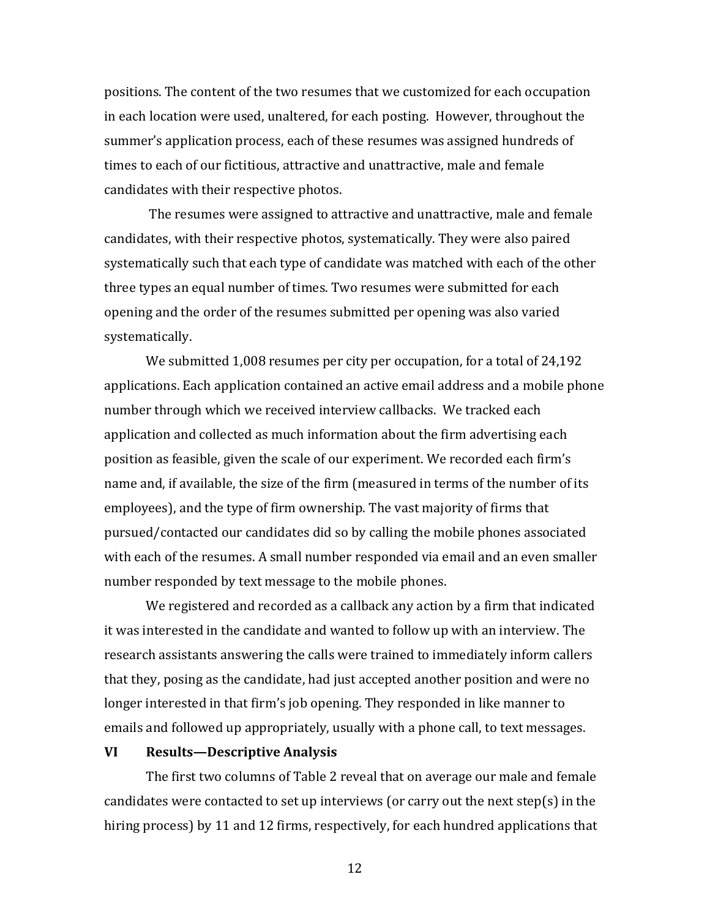positions. The content of the two resumes that we customized for each occupation in each location were used, unaltered, for each posting. However, throughout the summer's application process, each of these resumes was assigned hundreds of times to each of our fictitious, attractive and unattractive, male and female candidates with their respective photos.

The resumes were assigned to attractive and unattractive, male and female candidates, with their respective photos, systematically. They were also paired systematically such that each type of candidate was matched with each of the other three types an equal number of times. Two resumes were submitted for each opening and the order of the resumes submitted per opening was also varied systematically.

We submitted 1,008 resumes per city per occupation, for a total of 24,192 applications. Each application contained an active email address and a mobile phone number through which we received interview callbacks. We tracked each application and collected as much information about the firm advertising each position as feasible, given the scale of our experiment. We recorded each firm's name and, if available, the size of the firm (measured in terms of the number of its employees), and the type of firm ownership. The vast majority of firms that pursued/contacted our candidates did so by calling the mobile phones associated with each of the resumes. A small number responded via email and an even smaller number responded by text message to the mobile phones.

We registered and recorded as a callback any action by a firm that indicated it was interested in the candidate and wanted to follow up with an interview. The research assistants answering the calls were trained to immediately inform callers that they, posing as the candidate, had just accepted another position and were no longer interested in that firm's job opening. They responded in like manner to emails and followed up appropriately, usually with a phone call, to text messages.

#### **VI Results—Descriptive Analysis**

The first two columns of Table 2 reveal that on average our male and female candidates were contacted to set up interviews (or carry out the next step(s) in the hiring process) by 11 and 12 firms, respectively, for each hundred applications that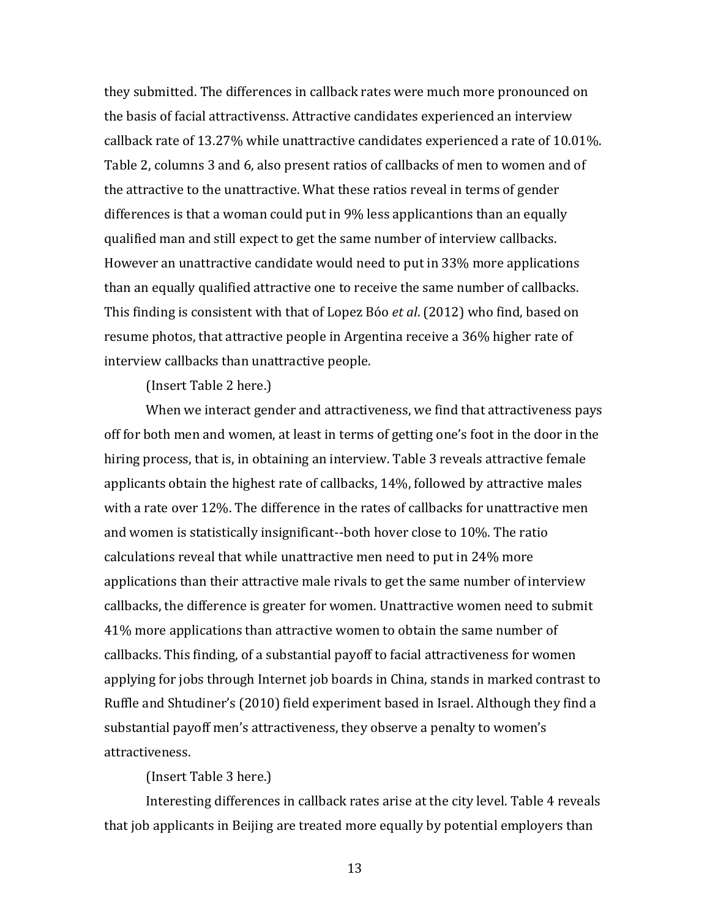they submitted. The differences in callback rates were much more pronounced on the basis of facial attractivenss. Attractive candidates experienced an interview callback rate of 13.27% while unattractive candidates experienced a rate of 10.01%. Table 2, columns 3 and 6, also present ratios of callbacks of men to women and of the attractive to the unattractive. What these ratios reveal in terms of gender differences is that a woman could put in 9% less applicantions than an equally qualified man and still expect to get the same number of interview callbacks. However an unattractive candidate would need to put in 33% more applications than an equally qualified attractive one to receive the same number of callbacks. This finding is consistent with that of Lopez Bóo *et al*. (2012) who find, based on resume photos, that attractive people in Argentina receive a 36% higher rate of interview callbacks than unattractive people.

(Insert Table 2 here.)

When we interact gender and attractiveness, we find that attractiveness pays off for both men and women, at least in terms of getting one's foot in the door in the hiring process, that is, in obtaining an interview. Table 3 reveals attractive female applicants obtain the highest rate of callbacks, 14%, followed by attractive males with a rate over 12%. The difference in the rates of callbacks for unattractive men and women is statistically insignificant--both hover close to 10%. The ratio calculations reveal that while unattractive men need to put in 24% more applications than their attractive male rivals to get the same number of interview callbacks, the difference is greater for women. Unattractive women need to submit 41% more applications than attractive women to obtain the same number of callbacks. This finding, of a substantial payoff to facial attractiveness for women applying for jobs through Internet job boards in China, stands in marked contrast to Ruffle and Shtudiner's (2010) field experiment based in Israel. Although they find a substantial payoff men's attractiveness, they observe a penalty to women's attractiveness.

(Insert Table 3 here.)

Interesting differences in callback rates arise at the city level. Table 4 reveals that job applicants in Beijing are treated more equally by potential employers than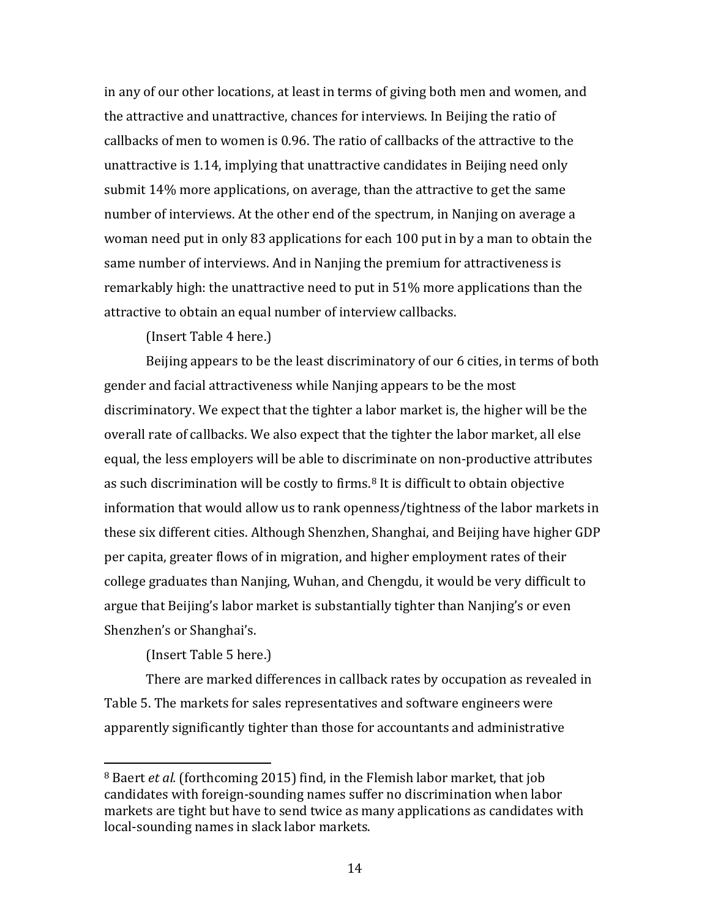in any of our other locations, at least in terms of giving both men and women, and the attractive and unattractive, chances for interviews. In Beijing the ratio of callbacks of men to women is 0.96. The ratio of callbacks of the attractive to the unattractive is 1.14, implying that unattractive candidates in Beijing need only submit 14% more applications, on average, than the attractive to get the same number of interviews. At the other end of the spectrum, in Nanjing on average a woman need put in only 83 applications for each 100 put in by a man to obtain the same number of interviews. And in Nanjing the premium for attractiveness is remarkably high: the unattractive need to put in 51% more applications than the attractive to obtain an equal number of interview callbacks.

(Insert Table 4 here.)

Beijing appears to be the least discriminatory of our 6 cities, in terms of both gender and facial attractiveness while Nanjing appears to be the most discriminatory. We expect that the tighter a labor market is, the higher will be the overall rate of callbacks. We also expect that the tighter the labor market, all else equal, the less employers will be able to discriminate on non-productive attributes as such discrimination will be costly to firms.<sup>[8](#page-11-0)</sup> It is difficult to obtain objective information that would allow us to rank openness/tightness of the labor markets in these six different cities. Although Shenzhen, Shanghai, and Beijing have higher GDP per capita, greater flows of in migration, and higher employment rates of their college graduates than Nanjing, Wuhan, and Chengdu, it would be very difficult to argue that Beijing's labor market is substantially tighter than Nanjing's or even Shenzhen's or Shanghai's.

(Insert Table 5 here.)

There are marked differences in callback rates by occupation as revealed in Table 5. The markets for sales representatives and software engineers were apparently significantly tighter than those for accountants and administrative

<span id="page-14-0"></span> <sup>8</sup> Baert *et al.* (forthcoming 2015) find, in the Flemish labor market, that job candidates with foreign-sounding names suffer no discrimination when labor markets are tight but have to send twice as many applications as candidates with local-sounding names in slack labor markets.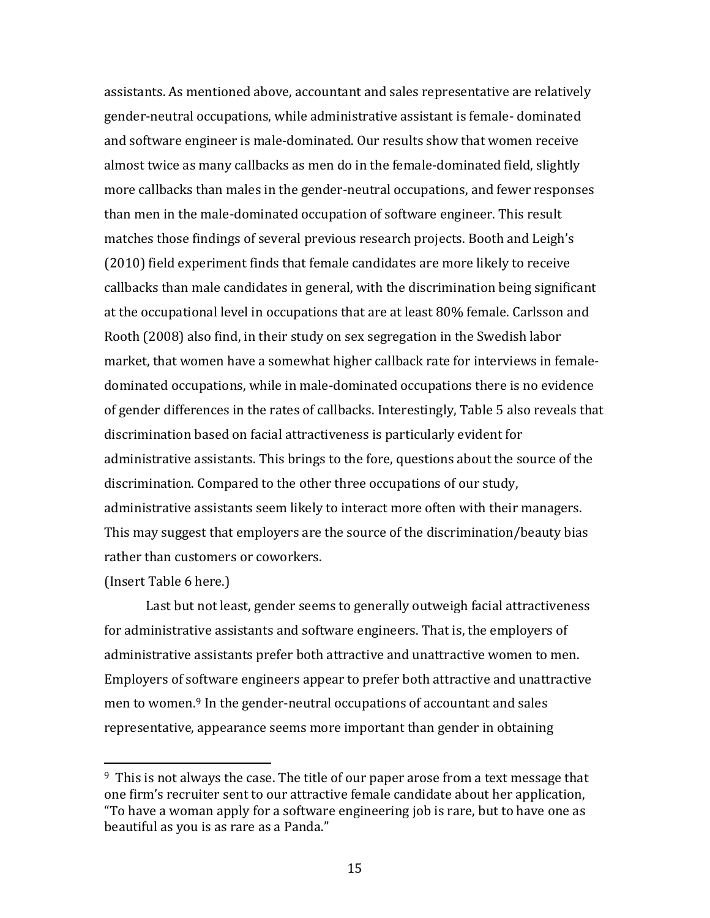assistants. As mentioned above, accountant and sales representative are relatively gender-neutral occupations, while administrative assistant is female- dominated and software engineer is male-dominated. Our results show that women receive almost twice as many callbacks as men do in the female-dominated field, slightly more callbacks than males in the gender-neutral occupations, and fewer responses than men in the male-dominated occupation of software engineer. This result matches those findings of several previous research projects. Booth and Leigh's (2010) field experiment finds that female candidates are more likely to receive callbacks than male candidates in general, with the discrimination being significant at the occupational level in occupations that are at least 80% female. Carlsson and Rooth (2008) also find, in their study on sex segregation in the Swedish labor market, that women have a somewhat higher callback rate for interviews in femaledominated occupations, while in male-dominated occupations there is no evidence of gender differences in the rates of callbacks. Interestingly, Table 5 also reveals that discrimination based on facial attractiveness is particularly evident for administrative assistants. This brings to the fore, questions about the source of the discrimination. Compared to the other three occupations of our study, administrative assistants seem likely to interact more often with their managers. This may suggest that employers are the source of the discrimination/beauty bias rather than customers or coworkers.

#### (Insert Table 6 here.)

Last but not least, gender seems to generally outweigh facial attractiveness for administrative assistants and software engineers. That is, the employers of administrative assistants prefer both attractive and unattractive women to men. Employers of software engineers appear to prefer both attractive and unattractive men to women.[9](#page-14-0) In the gender-neutral occupations of accountant and sales representative, appearance seems more important than gender in obtaining

<span id="page-15-0"></span> $9$  This is not always the case. The title of our paper arose from a text message that one firm's recruiter sent to our attractive female candidate about her application, "To have a woman apply for a software engineering job is rare, but to have one as beautiful as you is as rare as a Panda."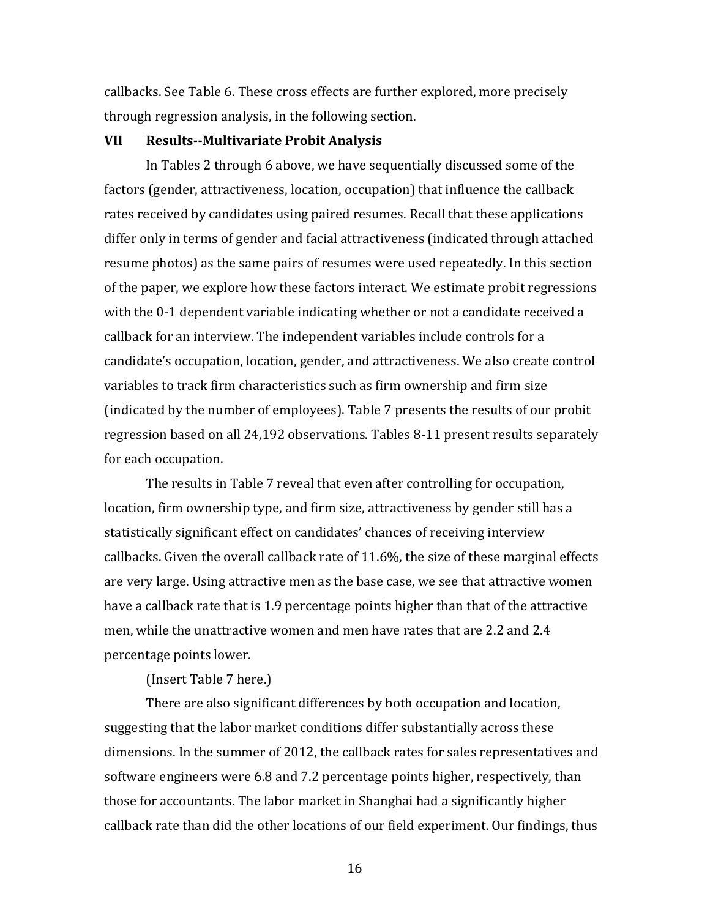callbacks. See Table 6. These cross effects are further explored, more precisely through regression analysis, in the following section.

#### **VII Results--Multivariate Probit Analysis**

In Tables 2 through 6 above, we have sequentially discussed some of the factors (gender, attractiveness, location, occupation) that influence the callback rates received by candidates using paired resumes. Recall that these applications differ only in terms of gender and facial attractiveness (indicated through attached resume photos) as the same pairs of resumes were used repeatedly. In this section of the paper, we explore how these factors interact. We estimate probit regressions with the 0-1 dependent variable indicating whether or not a candidate received a callback for an interview. The independent variables include controls for a candidate's occupation, location, gender, and attractiveness. We also create control variables to track firm characteristics such as firm ownership and firm size (indicated by the number of employees). Table 7 presents the results of our probit regression based on all 24,192 observations. Tables 8-11 present results separately for each occupation.

The results in Table 7 reveal that even after controlling for occupation, location, firm ownership type, and firm size, attractiveness by gender still has a statistically significant effect on candidates' chances of receiving interview callbacks. Given the overall callback rate of 11.6%, the size of these marginal effects are very large. Using attractive men as the base case, we see that attractive women have a callback rate that is 1.9 percentage points higher than that of the attractive men, while the unattractive women and men have rates that are 2.2 and 2.4 percentage points lower.

#### (Insert Table 7 here.)

There are also significant differences by both occupation and location, suggesting that the labor market conditions differ substantially across these dimensions. In the summer of 2012, the callback rates for sales representatives and software engineers were 6.8 and 7.2 percentage points higher, respectively, than those for accountants. The labor market in Shanghai had a significantly higher callback rate than did the other locations of our field experiment. Our findings, thus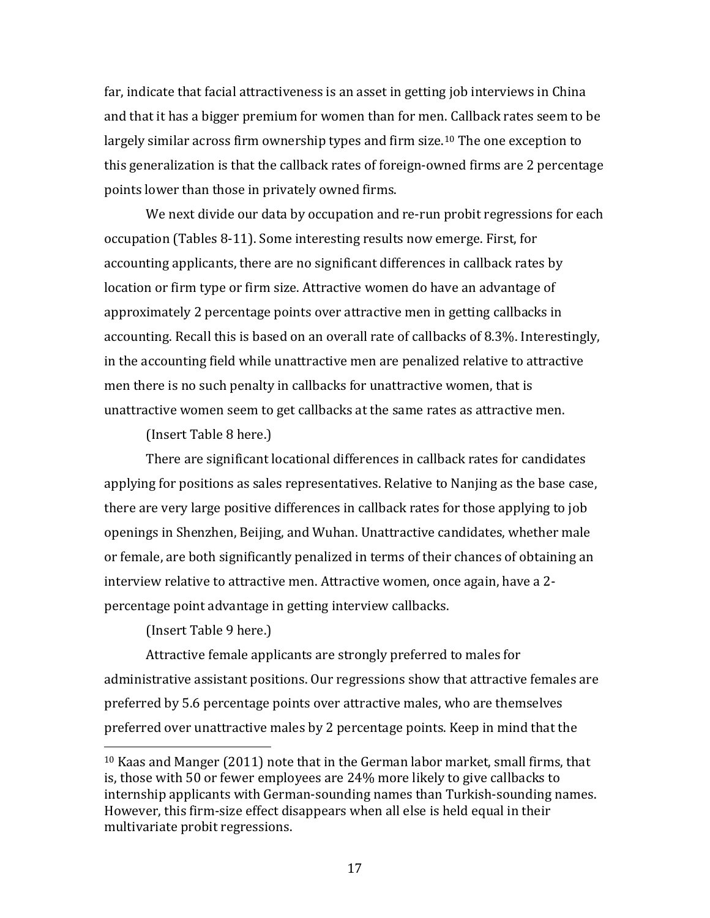far, indicate that facial attractiveness is an asset in getting job interviews in China and that it has a bigger premium for women than for men. Callback rates seem to be largely similar across firm ownership types and firm size.<sup>[10](#page-15-0)</sup> The one exception to this generalization is that the callback rates of foreign-owned firms are 2 percentage points lower than those in privately owned firms.

We next divide our data by occupation and re-run probit regressions for each occupation (Tables 8-11). Some interesting results now emerge. First, for accounting applicants, there are no significant differences in callback rates by location or firm type or firm size. Attractive women do have an advantage of approximately 2 percentage points over attractive men in getting callbacks in accounting. Recall this is based on an overall rate of callbacks of 8.3%. Interestingly, in the accounting field while unattractive men are penalized relative to attractive men there is no such penalty in callbacks for unattractive women, that is unattractive women seem to get callbacks at the same rates as attractive men.

(Insert Table 8 here.)

There are significant locational differences in callback rates for candidates applying for positions as sales representatives. Relative to Nanjing as the base case, there are very large positive differences in callback rates for those applying to job openings in Shenzhen, Beijing, and Wuhan. Unattractive candidates, whether male or female, are both significantly penalized in terms of their chances of obtaining an interview relative to attractive men. Attractive women, once again, have a 2 percentage point advantage in getting interview callbacks.

(Insert Table 9 here.)

Attractive female applicants are strongly preferred to males for administrative assistant positions. Our regressions show that attractive females are preferred by 5.6 percentage points over attractive males, who are themselves preferred over unattractive males by 2 percentage points. Keep in mind that the

 <sup>10</sup> Kaas and Manger (2011) note that in the German labor market, small firms, that is, those with 50 or fewer employees are 24% more likely to give callbacks to internship applicants with German-sounding names than Turkish-sounding names. However, this firm-size effect disappears when all else is held equal in their multivariate probit regressions.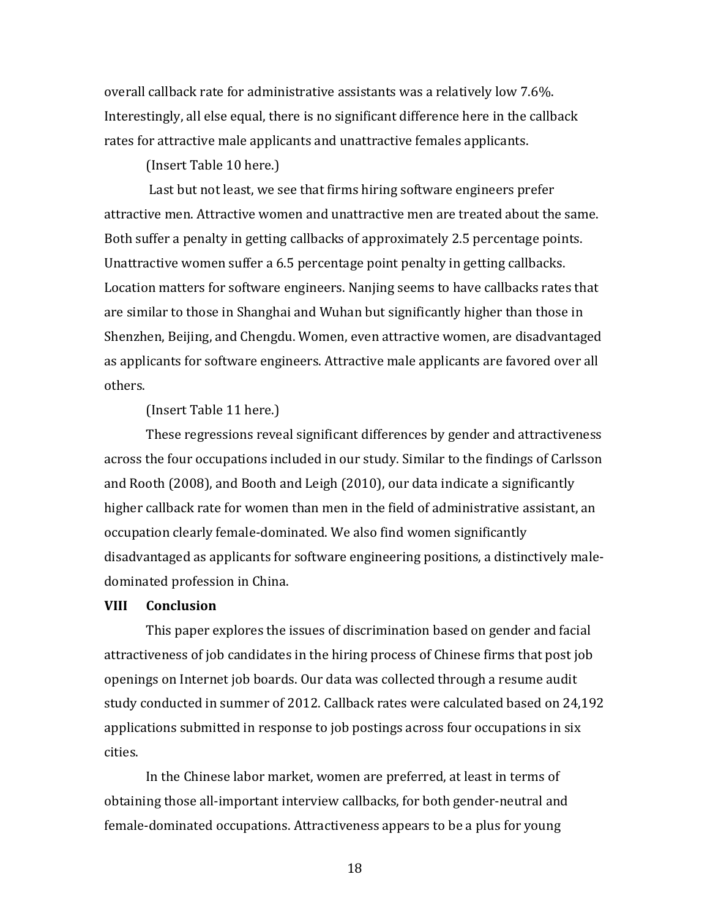overall callback rate for administrative assistants was a relatively low 7.6%. Interestingly, all else equal, there is no significant difference here in the callback rates for attractive male applicants and unattractive females applicants.

(Insert Table 10 here.)

Last but not least, we see that firms hiring software engineers prefer attractive men. Attractive women and unattractive men are treated about the same. Both suffer a penalty in getting callbacks of approximately 2.5 percentage points. Unattractive women suffer a 6.5 percentage point penalty in getting callbacks. Location matters for software engineers. Nanjing seems to have callbacks rates that are similar to those in Shanghai and Wuhan but significantly higher than those in Shenzhen, Beijing, and Chengdu. Women, even attractive women, are disadvantaged as applicants for software engineers. Attractive male applicants are favored over all others.

(Insert Table 11 here.)

These regressions reveal significant differences by gender and attractiveness across the four occupations included in our study. Similar to the findings of Carlsson and Rooth (2008), and Booth and Leigh (2010), our data indicate a significantly higher callback rate for women than men in the field of administrative assistant, an occupation clearly female-dominated. We also find women significantly disadvantaged as applicants for software engineering positions, a distinctively maledominated profession in China.

#### **VIII Conclusion**

This paper explores the issues of discrimination based on gender and facial attractiveness of job candidates in the hiring process of Chinese firms that post job openings on Internet job boards. Our data was collected through a resume audit study conducted in summer of 2012. Callback rates were calculated based on 24,192 applications submitted in response to job postings across four occupations in six cities.

In the Chinese labor market, women are preferred, at least in terms of obtaining those all-important interview callbacks, for both gender-neutral and female-dominated occupations. Attractiveness appears to be a plus for young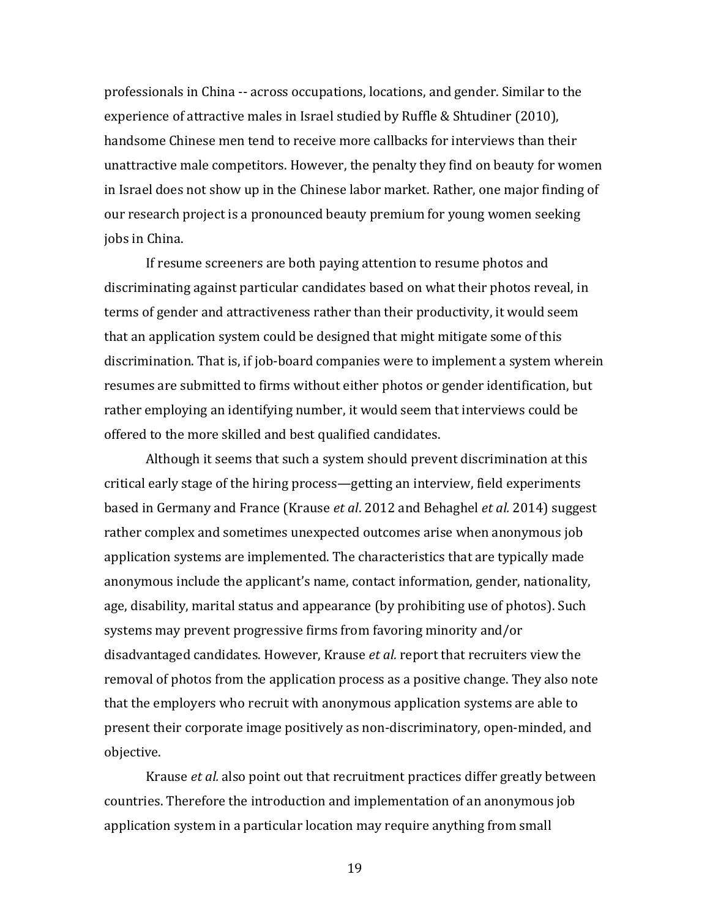professionals in China -- across occupations, locations, and gender. Similar to the experience of attractive males in Israel studied by Ruffle & Shtudiner (2010), handsome Chinese men tend to receive more callbacks for interviews than their unattractive male competitors. However, the penalty they find on beauty for women in Israel does not show up in the Chinese labor market. Rather, one major finding of our research project is a pronounced beauty premium for young women seeking jobs in China.

If resume screeners are both paying attention to resume photos and discriminating against particular candidates based on what their photos reveal, in terms of gender and attractiveness rather than their productivity, it would seem that an application system could be designed that might mitigate some of this discrimination. That is, if job-board companies were to implement a system wherein resumes are submitted to firms without either photos or gender identification, but rather employing an identifying number, it would seem that interviews could be offered to the more skilled and best qualified candidates.

Although it seems that such a system should prevent discrimination at this critical early stage of the hiring process—getting an interview, field experiments based in Germany and France (Krause *et al*. 2012 and Behaghel *et al.* 2014) suggest rather complex and sometimes unexpected outcomes arise when anonymous job application systems are implemented. The characteristics that are typically made anonymous include the applicant's name, contact information, gender, nationality, age, disability, marital status and appearance (by prohibiting use of photos). Such systems may prevent progressive firms from favoring minority and/or disadvantaged candidates. However, Krause *et al.* report that recruiters view the removal of photos from the application process as a positive change. They also note that the employers who recruit with anonymous application systems are able to present their corporate image positively as non-discriminatory, open-minded, and objective.

Krause *et al.* also point out that recruitment practices differ greatly between countries. Therefore the introduction and implementation of an anonymous job application system in a particular location may require anything from small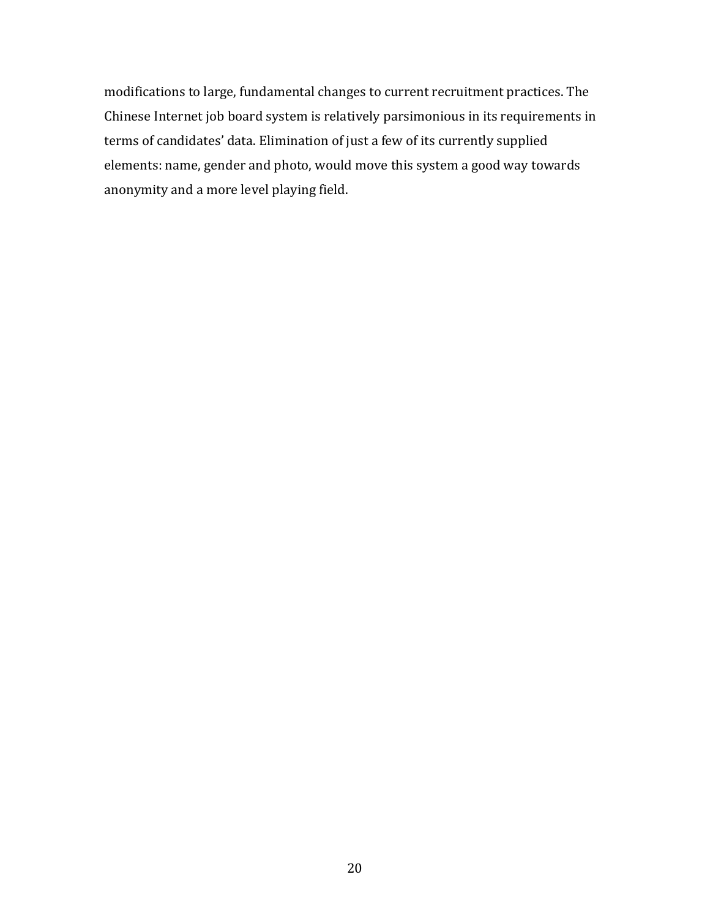modifications to large, fundamental changes to current recruitment practices. The Chinese Internet job board system is relatively parsimonious in its requirements in terms of candidates' data. Elimination of just a few of its currently supplied elements: name, gender and photo, would move this system a good way towards anonymity and a more level playing field.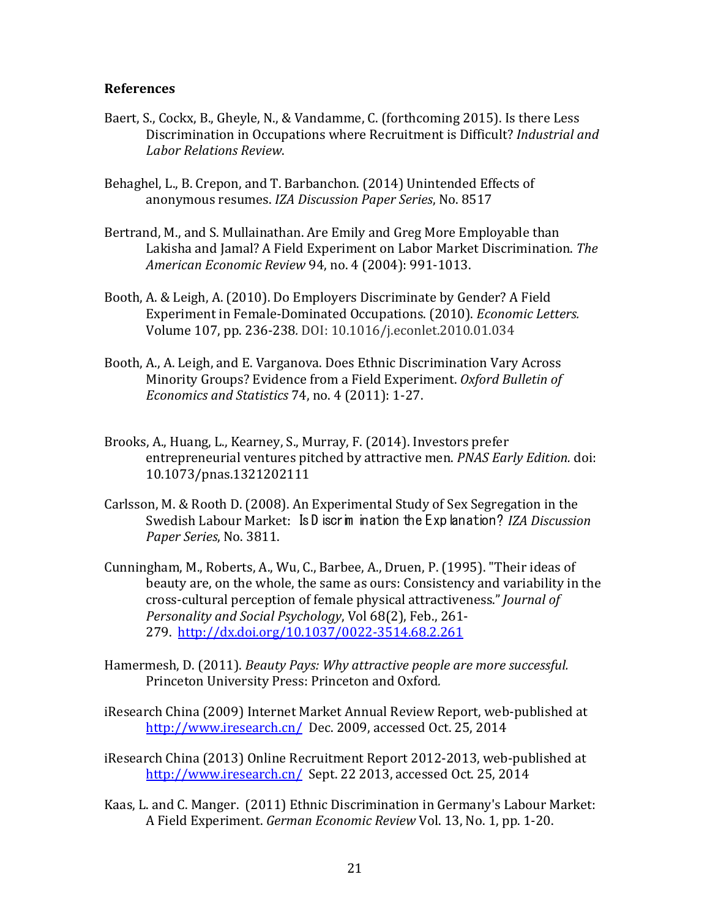#### **References**

- Baert, S., Cockx, B., Gheyle, N., & Vandamme, C. (forthcoming 2015). Is there Less Discrimination in Occupations where Recruitment is Difficult? *Industrial and Labor Relations Review*.
- Behaghel, L., B. Crepon, and T. Barbanchon. (2014) Unintended Effects of anonymous resumes. *IZA Discussion Paper Series*, No. 8517
- Bertrand, M., and S. Mullainathan. Are Emily and Greg More Employable than Lakisha and Jamal? A Field Experiment on Labor Market Discrimination. *The American Economic Review* 94, no. 4 (2004): 991-1013.
- Booth, A. & Leigh, A. (2010). Do Employers Discriminate by Gender? A Field Experiment in Female-Dominated Occupations. (2010). *Economic Letters.*  Volume 107, pp. 236-238*.* DOI: 10.1016/j.econlet.2010.01.034
- Booth, A., A. Leigh, and E. Varganova. Does Ethnic Discrimination Vary Across Minority Groups? Evidence from a Field Experiment. *Oxford Bulletin of Economics and Statistics* 74, no. 4 (2011): 1-27.
- Brooks, A., Huang, L., Kearney, S., Murray, F. (2014). Investors prefer entrepreneurial ventures pitched by attractive men. *PNAS Early Edition.* doi: 10.1073/pnas.1321202111
- Carlsson, M. & Rooth D. (2008). An Experimental Study of Sex Segregation in the Swedish Labour Market: Is D iscrim ination the Explanation? *IZA Discussion Paper Series*, No. 3811.
- Cunningham, M., Roberts, A., Wu, C., Barbee, A., Druen, P. (1995). "Their ideas of beauty are, on the whole, the same as ours: Consistency and variability in the cross-cultural perception of female physical attractiveness."*Journal of Personality and Social Psychology*, Vol 68(2), Feb., 261- 279. [http://dx.doi.org/10.1037/0022-3514.68.2.261](http://psycnet.apa.org/doi/10.1037/0022-3514.68.2.261)
- Hamermesh, D. (2011). *Beauty Pays: Why attractive people are more successful.* Princeton University Press: Princeton and Oxford*.*
- iResearch China (2009) Internet Market Annual Review Report, web-published at <http://www.iresearch.cn/>Dec. 2009, accessed Oct. 25, 2014
- iResearch China (2013) Online Recruitment Report 2012-2013, web-published at <http://www.iresearch.cn/> Sept. 22 2013, accessed Oct. 25, 2014
- Kaas, L. and C. Manger. (2011) Ethnic Discrimination in Germany's Labour Market: A Field Experiment. *German Economic Review* Vol. 13, No. 1, pp. 1-20.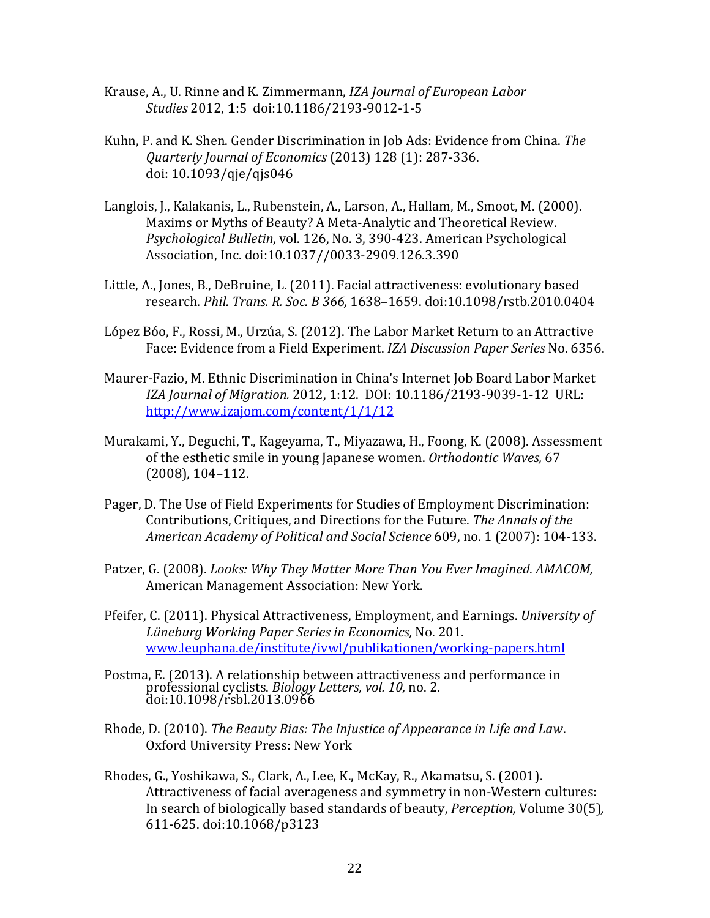- Krause, A., U. Rinne and K. Zimmermann, *IZA Journal of European Labor Studies* 2012, **1**:5 doi:10.1186/2193-9012-1-5
- Kuhn, P. and K. Shen. Gender Discrimination in Job Ads: Evidence from China. *The Quarterly Journal of Economics* (2013) 128 (1): 287-336. doi: 10.1093/qje/qjs046
- Langlois, J., Kalakanis, L., Rubenstein, A., Larson, A., Hallam, M., Smoot, M. (2000). Maxims or Myths of Beauty? A Meta-Analytic and Theoretical Review. *Psychological Bulletin*, vol. 126, No. 3, 390-423. American Psychological Association, Inc. doi:10.1037//0033-2909.126.3.390
- Little, A., Jones, B., DeBruine, L. (2011). Facial attractiveness: evolutionary based research. *Phil. Trans. R. Soc. B 366,* 1638–1659. doi:10.1098/rstb.2010.0404
- López Bóo, F., Rossi, M., Urzúa, S. (2012). The Labor Market Return to an Attractive Face: Evidence from a Field Experiment. *IZA Discussion Paper Series* No. 6356.
- Maurer-Fazio, M. Ethnic Discrimination in China's Internet Job Board Labor Market *IZA Journal of Migration.* 2012, 1:12. DOI: 10.1186/2193-9039-1-12 URL: <http://www.izajom.com/content/1/1/12>
- Murakami, Y., Deguchi, T., Kageyama, T., Miyazawa, H., Foong, K. (2008). Assessment of the esthetic smile in young Japanese women. *Orthodontic Waves,* 67 (2008)*,* 104–112.
- Pager, D. The Use of Field Experiments for Studies of Employment Discrimination: Contributions, Critiques, and Directions for the Future. *The Annals of the American Academy of Political and Social Science* 609, no. 1 (2007): 104-133.
- Patzer, G. (2008). *Looks: Why They Matter More Than You Ever Imagined*. *AMACOM,*  American Management Association: New York.
- Pfeifer, C. (2011). Physical Attractiveness, Employment, and Earnings. *University of Lüneburg Working Paper Series in Economics,* No. 201. [www.leuphana.de/institute/ivwl/publikationen/working-papers.html](http://www.leuphana.de/institute/ivwl/publikationen/working-papers.html)
- Postma, E. (2013). A relationship between attractiveness and performance in professional cyclists. *Biology Letters, vol. 10,* no. 2. doi:10.1098/rsbl.2013.0966
- Rhode, D. (2010). *The Beauty Bias: The Injustice of Appearance in Life and Law*. Oxford University Press: New York
- Rhodes, G., Yoshikawa, S., Clark, A., Lee, K., McKay, R., Akamatsu, S. (2001). Attractiveness of facial averageness and symmetry in non-Western cultures: In search of biologically based standards of beauty, *Perception,* Volume 30(5)*,* 611-625. doi:10.1068/p3123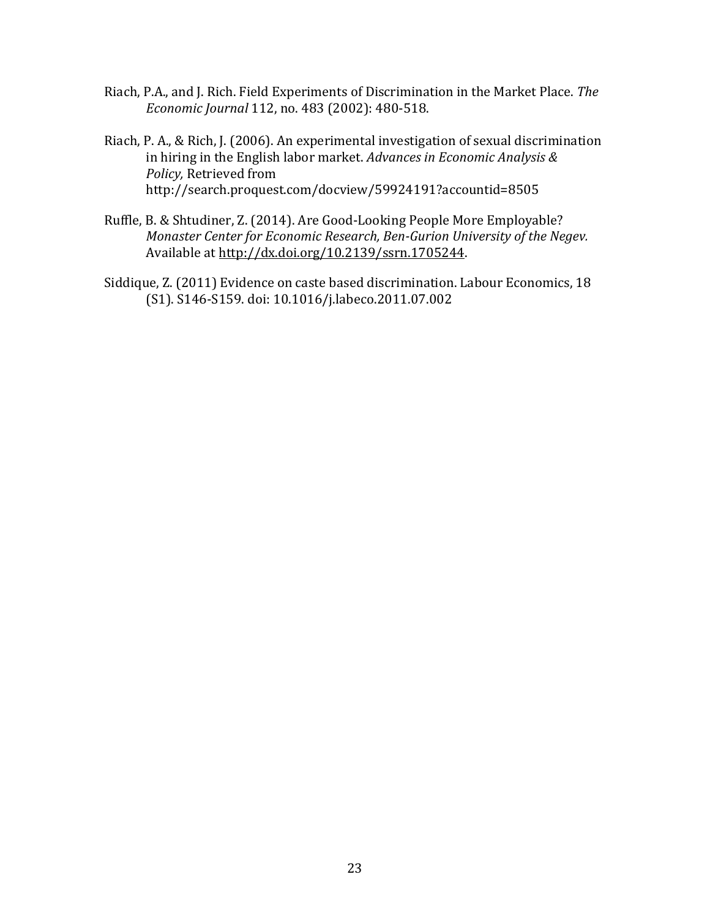- Riach, P.A., and J. Rich. Field Experiments of Discrimination in the Market Place. *The Economic Journal* 112, no. 483 (2002): 480-518.
- Riach, P. A., & Rich, J. (2006). An experimental investigation of sexual discrimination in hiring in the English labor market. *Advances in Economic Analysis & Policy,* Retrieved from http://search.proquest.com/docview/59924191?accountid=8505
- Ruffle, B. & Shtudiner, Z. (2014). Are Good-Looking People More Employable? *Monaster Center for Economic Research, Ben-Gurion University of the Negev.* Available a[t http://dx.doi.org/10.2139/ssrn.1705244.](http://dx.doi.org/10.2139/ssrn.1705244)
- Siddique, Z. (2011) Evidence on caste based discrimination. Labour Economics, 18 (S1). S146-S159. doi: 10.1016/j.labeco.2011.07.002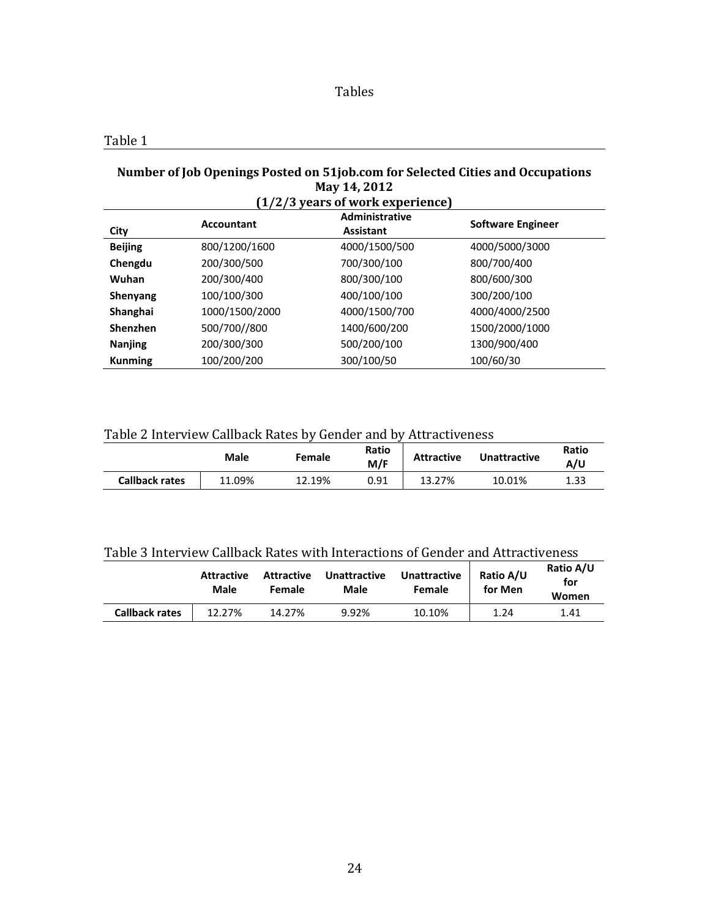### Tables

#### Table 1

#### **Number of Job Openings Posted on 51job.com for Selected Cities and Occupations May 14, 2012 (1/2/3 years of work experience)**

| (1/4/5 years of work experience) |                |                                           |                          |  |
|----------------------------------|----------------|-------------------------------------------|--------------------------|--|
| City                             | Accountant     | <b>Administrative</b><br><b>Assistant</b> | <b>Software Engineer</b> |  |
| <b>Beijing</b>                   | 800/1200/1600  | 4000/1500/500                             | 4000/5000/3000           |  |
| Chengdu                          | 200/300/500    | 700/300/100                               | 800/700/400              |  |
| Wuhan                            | 200/300/400    | 800/300/100                               | 800/600/300              |  |
| Shenyang                         | 100/100/300    | 400/100/100                               | 300/200/100              |  |
| Shanghai                         | 1000/1500/2000 | 4000/1500/700                             | 4000/4000/2500           |  |
| Shenzhen                         | 500/700//800   | 1400/600/200                              | 1500/2000/1000           |  |
| <b>Nanjing</b>                   | 200/300/300    | 500/200/100                               | 1300/900/400             |  |
| <b>Kunming</b>                   | 100/200/200    | 300/100/50                                | 100/60/30                |  |

#### Table 2 Interview Callback Rates by Gender and by Attractiveness

|                       | Male   | <b>Female</b> | Ratio<br>M/F | <b>Attractive</b> | <b>Unattractive</b> | Ratio<br>A/U |
|-----------------------|--------|---------------|--------------|-------------------|---------------------|--------------|
| <b>Callback rates</b> | 11.09% | 12.19%        | 0.91         | 13.27%            | 10.01%              | 1.33         |

#### Table 3 Interview Callback Rates with Interactions of Gender and Attractiveness

|                       | Attractive<br>Male | Attractive<br>Female | <b>Unattractive</b><br>Male | <b>Unattractive</b><br><b>Female</b> | Ratio A/U<br>for Men | Ratio A/U<br>for<br>Women |
|-----------------------|--------------------|----------------------|-----------------------------|--------------------------------------|----------------------|---------------------------|
| <b>Callback rates</b> | 12.27%             | 14.27%               | 9.92%                       | 10.10%                               | 1.24                 | 1.41                      |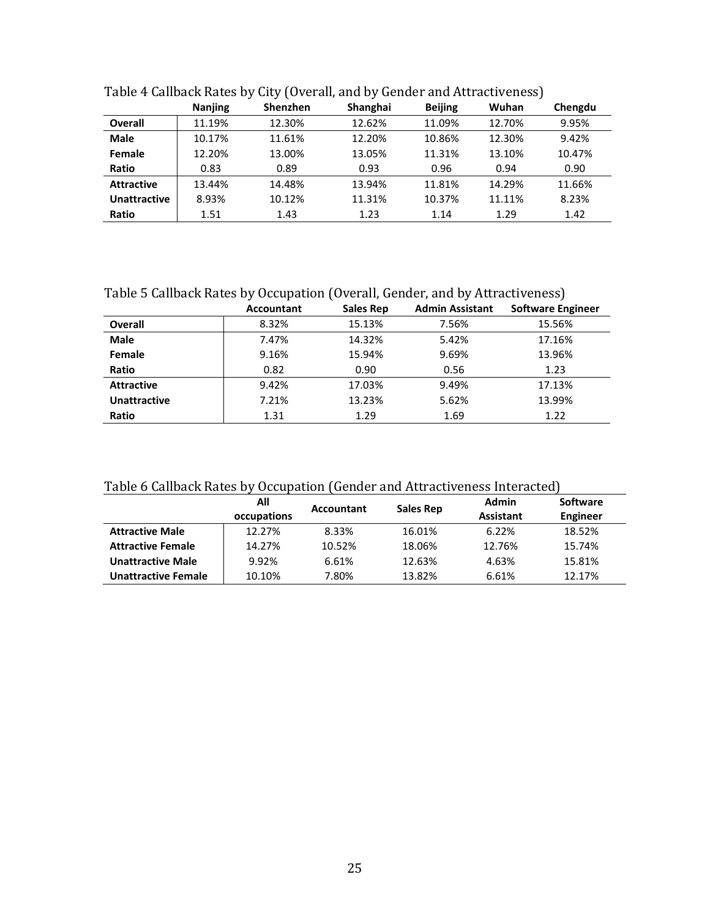|                     | <b>Nanjing</b> | <b>Shenzhen</b> | Shanghai | <b>Beijing</b> | Wuhan  | Chengdu |
|---------------------|----------------|-----------------|----------|----------------|--------|---------|
| <b>Overall</b>      | 11.19%         | 12.30%          | 12.62%   | 11.09%         | 12.70% | 9.95%   |
| <b>Male</b>         | 10.17%         | 11.61%          | 12.20%   | 10.86%         | 12.30% | 9.42%   |
| Female              | 12.20%         | 13.00%          | 13.05%   | 11.31%         | 13.10% | 10.47%  |
| Ratio               | 0.83           | 0.89            | 0.93     | 0.96           | 0.94   | 0.90    |
| <b>Attractive</b>   | 13.44%         | 14.48%          | 13.94%   | 11.81%         | 14.29% | 11.66%  |
| <b>Unattractive</b> | 8.93%          | 10.12%          | 11.31%   | 10.37%         | 11.11% | 8.23%   |
| Ratio               | 1.51           | 1.43            | 1.23     | 1.14           | 1.29   | 1.42    |

Table 4 Callback Rates by City (Overall, and by Gender and Attractiveness)

Table 5 Callback Rates by Occupation (Overall, Gender, and by Attractiveness)

|                     | Accountant | <b>Sales Rep</b> | <b>Admin Assistant</b> | <b>Software Engineer</b> |
|---------------------|------------|------------------|------------------------|--------------------------|
| <b>Overall</b>      | 8.32%      | 15.13%           | 7.56%                  | 15.56%                   |
| <b>Male</b>         | 7.47%      | 14.32%           | 5.42%                  | 17.16%                   |
| Female              | 9.16%      | 15.94%           | 9.69%                  | 13.96%                   |
| Ratio               | 0.82       | 0.90             | 0.56                   | 1.23                     |
| <b>Attractive</b>   | 9.42%      | 17.03%           | 9.49%                  | 17.13%                   |
| <b>Unattractive</b> | 7.21%      | 13.23%           | 5.62%                  | 13.99%                   |
| Ratio               | 1.31       | 1.29             | 1.69                   | 1.22                     |

| Table 6 Callback Rates by Occupation (Gender and Attractiveness Interacted) |
|-----------------------------------------------------------------------------|
|-----------------------------------------------------------------------------|

|                            | All         | Accountant |           | <b>Admin</b>     | Software        |
|----------------------------|-------------|------------|-----------|------------------|-----------------|
|                            | occupations |            | Sales Rep | <b>Assistant</b> | <b>Engineer</b> |
| <b>Attractive Male</b>     | 12.27%      | 8.33%      | 16.01%    | 6.22%            | 18.52%          |
| <b>Attractive Female</b>   | 14.27%      | 10.52%     | 18.06%    | 12.76%           | 15.74%          |
| <b>Unattractive Male</b>   | 9.92%       | 6.61%      | 12.63%    | 4.63%            | 15.81%          |
| <b>Unattractive Female</b> | 10.10%      | 7.80%      | 13.82%    | 6.61%            | 12.17%          |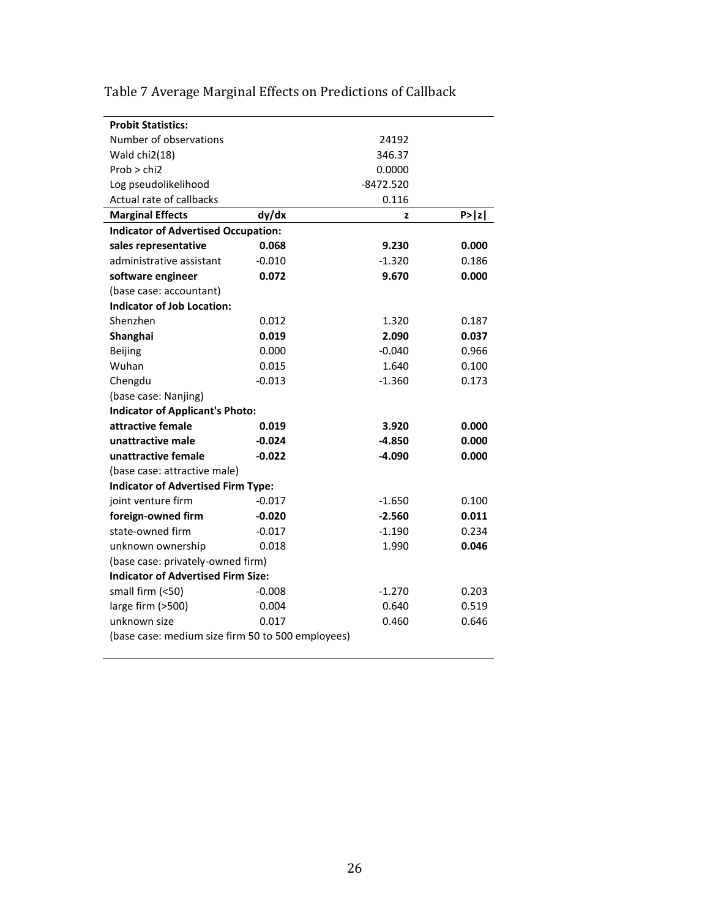| <b>Probit Statistics:</b>                         |          |             |        |  |  |
|---------------------------------------------------|----------|-------------|--------|--|--|
| Number of observations                            |          | 24192       |        |  |  |
| Wald chi2(18)                                     |          | 346.37      |        |  |  |
| Prob > chi2                                       |          | 0.0000      |        |  |  |
| Log pseudolikelihood                              |          | $-8472.520$ |        |  |  |
| Actual rate of callbacks                          |          | 0.116       |        |  |  |
| <b>Marginal Effects</b>                           | dy/dx    | z           | P >  z |  |  |
| <b>Indicator of Advertised Occupation:</b>        |          |             |        |  |  |
| sales representative                              | 0.068    | 9.230       | 0.000  |  |  |
| administrative assistant                          | $-0.010$ | $-1.320$    | 0.186  |  |  |
| software engineer                                 | 0.072    | 9.670       | 0.000  |  |  |
| (base case: accountant)                           |          |             |        |  |  |
| <b>Indicator of Job Location:</b>                 |          |             |        |  |  |
| Shenzhen                                          | 0.012    | 1.320       | 0.187  |  |  |
| Shanghai                                          | 0.019    | 2.090       | 0.037  |  |  |
| Beijing                                           | 0.000    | $-0.040$    | 0.966  |  |  |
| Wuhan                                             | 0.015    | 1.640       | 0.100  |  |  |
| Chengdu                                           | $-0.013$ | $-1.360$    | 0.173  |  |  |
| (base case: Nanjing)                              |          |             |        |  |  |
| <b>Indicator of Applicant's Photo:</b>            |          |             |        |  |  |
| attractive female                                 | 0.019    | 3.920       | 0.000  |  |  |
| unattractive male                                 | $-0.024$ | $-4.850$    | 0.000  |  |  |
| unattractive female                               | $-0.022$ | $-4.090$    | 0.000  |  |  |
| (base case: attractive male)                      |          |             |        |  |  |
| <b>Indicator of Advertised Firm Type:</b>         |          |             |        |  |  |
| joint venture firm                                | $-0.017$ | $-1.650$    | 0.100  |  |  |
| foreign-owned firm                                | $-0.020$ | $-2.560$    | 0.011  |  |  |
| state-owned firm                                  | $-0.017$ | $-1.190$    | 0.234  |  |  |
| unknown ownership                                 | 0.018    | 1.990       | 0.046  |  |  |
| (base case: privately-owned firm)                 |          |             |        |  |  |
| <b>Indicator of Advertised Firm Size:</b>         |          |             |        |  |  |
| small firm (<50)                                  | $-0.008$ | $-1.270$    | 0.203  |  |  |
| large firm (>500)                                 | 0.004    | 0.640       | 0.519  |  |  |
| unknown size                                      | 0.017    | 0.460       | 0.646  |  |  |
| (base case: medium size firm 50 to 500 employees) |          |             |        |  |  |
|                                                   |          |             |        |  |  |

Table 7 Average Marginal Effects on Predictions of Callback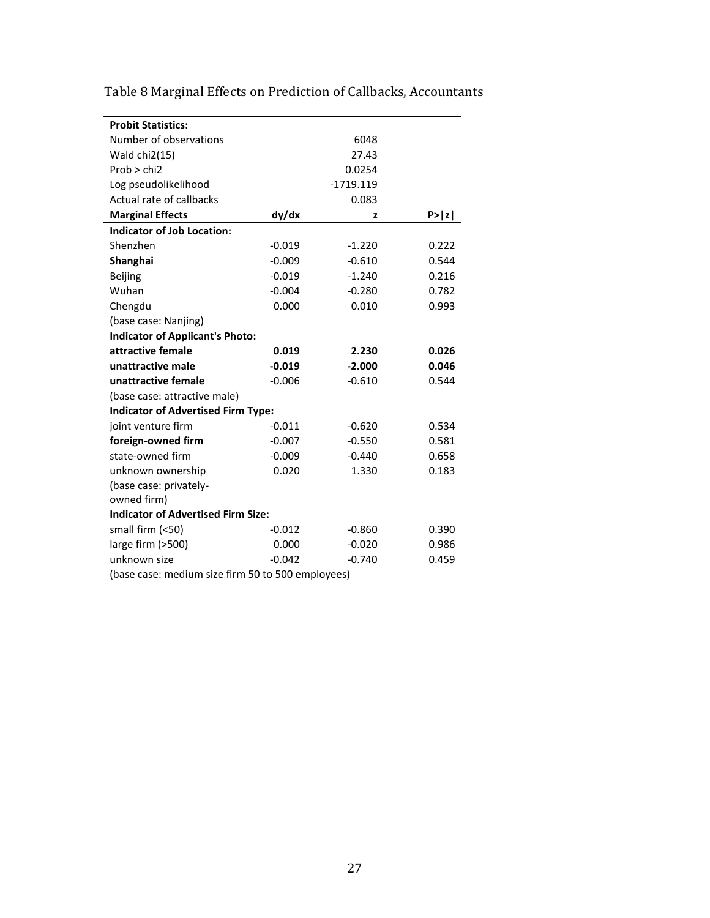| <b>Probit Statistics:</b>                         |          |             |        |  |  |
|---------------------------------------------------|----------|-------------|--------|--|--|
| Number of observations                            |          | 6048        |        |  |  |
| Wald chi2(15)                                     |          | 27.43       |        |  |  |
| Prob > chi2                                       |          | 0.0254      |        |  |  |
| Log pseudolikelihood                              |          | $-1719.119$ |        |  |  |
| Actual rate of callbacks                          |          | 0.083       |        |  |  |
| <b>Marginal Effects</b>                           | dy/dx    | z           | P >  z |  |  |
| <b>Indicator of Job Location:</b>                 |          |             |        |  |  |
| Shenzhen                                          | $-0.019$ | $-1.220$    | 0.222  |  |  |
| Shanghai                                          | $-0.009$ | $-0.610$    | 0.544  |  |  |
| <b>Beijing</b>                                    | $-0.019$ | $-1.240$    | 0.216  |  |  |
| Wuhan                                             | $-0.004$ | $-0.280$    | 0.782  |  |  |
| Chengdu                                           | 0.000    | 0.010       | 0.993  |  |  |
| (base case: Nanjing)                              |          |             |        |  |  |
| <b>Indicator of Applicant's Photo:</b>            |          |             |        |  |  |
| attractive female                                 | 0.019    | 2.230       | 0.026  |  |  |
| unattractive male                                 | $-0.019$ | $-2.000$    | 0.046  |  |  |
| unattractive female                               | $-0.006$ | $-0.610$    | 0.544  |  |  |
| (base case: attractive male)                      |          |             |        |  |  |
| <b>Indicator of Advertised Firm Type:</b>         |          |             |        |  |  |
| joint venture firm                                | $-0.011$ | $-0.620$    | 0.534  |  |  |
| foreign-owned firm                                | $-0.007$ | $-0.550$    | 0.581  |  |  |
| state-owned firm                                  | $-0.009$ | $-0.440$    | 0.658  |  |  |
| unknown ownership                                 | 0.020    | 1.330       | 0.183  |  |  |
| (base case: privately-                            |          |             |        |  |  |
| owned firm)                                       |          |             |        |  |  |
| <b>Indicator of Advertised Firm Size:</b>         |          |             |        |  |  |
| small firm (<50)                                  | $-0.012$ | $-0.860$    | 0.390  |  |  |
| large firm (>500)                                 | 0.000    | $-0.020$    | 0.986  |  |  |
| unknown size                                      | $-0.042$ | $-0.740$    | 0.459  |  |  |
| (base case: medium size firm 50 to 500 employees) |          |             |        |  |  |

Table 8 Marginal Effects on Prediction of Callbacks, Accountants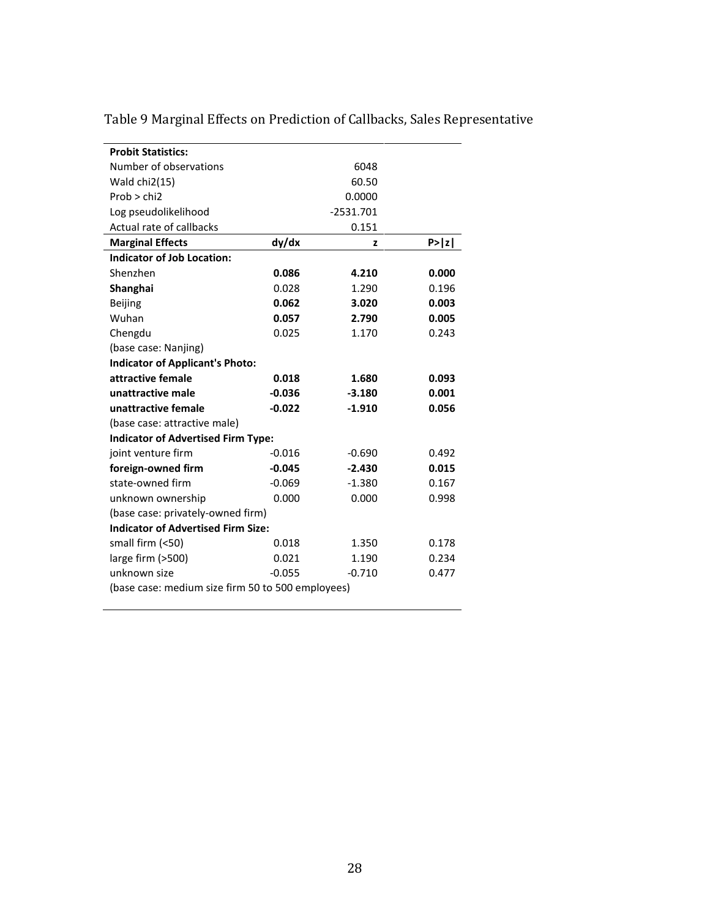| <b>Probit Statistics:</b>                         |          |             |        |
|---------------------------------------------------|----------|-------------|--------|
| Number of observations                            |          | 6048        |        |
| Wald chi2(15)                                     |          | 60.50       |        |
| Prob > chi2                                       |          | 0.0000      |        |
| Log pseudolikelihood                              |          | $-2531.701$ |        |
| Actual rate of callbacks                          |          | 0.151       |        |
| <b>Marginal Effects</b>                           | dy/dx    | z           | P >  z |
| <b>Indicator of Job Location:</b>                 |          |             |        |
| Shenzhen                                          | 0.086    | 4.210       | 0.000  |
| Shanghai                                          | 0.028    | 1.290       | 0.196  |
| <b>Beijing</b>                                    | 0.062    | 3.020       | 0.003  |
| Wuhan                                             | 0.057    | 2.790       | 0.005  |
| Chengdu                                           | 0.025    | 1.170       | 0.243  |
| (base case: Nanjing)                              |          |             |        |
| <b>Indicator of Applicant's Photo:</b>            |          |             |        |
| attractive female                                 | 0.018    | 1.680       | 0.093  |
| unattractive male                                 | $-0.036$ | $-3.180$    | 0.001  |
| unattractive female                               | $-0.022$ | $-1.910$    | 0.056  |
| (base case: attractive male)                      |          |             |        |
| <b>Indicator of Advertised Firm Type:</b>         |          |             |        |
| joint venture firm                                | $-0.016$ | $-0.690$    | 0.492  |
| foreign-owned firm                                | $-0.045$ | $-2.430$    | 0.015  |
| state-owned firm                                  | $-0.069$ | $-1.380$    | 0.167  |
| unknown ownership                                 | 0.000    | 0.000       | 0.998  |
| (base case: privately-owned firm)                 |          |             |        |
| <b>Indicator of Advertised Firm Size:</b>         |          |             |        |
| small firm (<50)                                  | 0.018    | 1.350       | 0.178  |
| large firm (>500)                                 | 0.021    | 1.190       | 0.234  |
| unknown size                                      | $-0.055$ | $-0.710$    | 0.477  |
| (base case: medium size firm 50 to 500 employees) |          |             |        |
|                                                   |          |             |        |

Table 9 Marginal Effects on Prediction of Callbacks, Sales Representative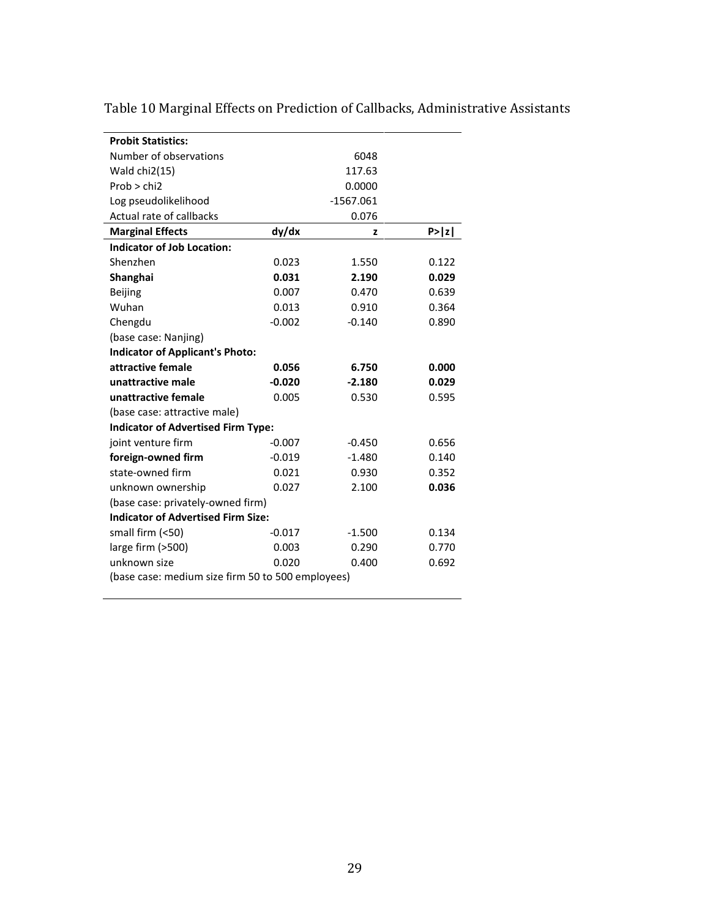| <b>Probit Statistics:</b>                         |          |             |        |
|---------------------------------------------------|----------|-------------|--------|
| Number of observations                            |          | 6048        |        |
| Wald chi2(15)                                     |          | 117.63      |        |
| Prob > chi2                                       |          | 0.0000      |        |
| Log pseudolikelihood                              |          | $-1567.061$ |        |
| Actual rate of callbacks                          |          | 0.076       |        |
| <b>Marginal Effects</b>                           | dy/dx    | z           | P >  z |
| <b>Indicator of Job Location:</b>                 |          |             |        |
| Shenzhen                                          | 0.023    | 1.550       | 0.122  |
| Shanghai                                          | 0.031    | 2.190       | 0.029  |
| <b>Beijing</b>                                    | 0.007    | 0.470       | 0.639  |
| Wuhan                                             | 0.013    | 0.910       | 0.364  |
| Chengdu                                           | $-0.002$ | $-0.140$    | 0.890  |
| (base case: Nanjing)                              |          |             |        |
| <b>Indicator of Applicant's Photo:</b>            |          |             |        |
| attractive female                                 | 0.056    | 6.750       | 0.000  |
| unattractive male                                 | $-0.020$ | $-2.180$    | 0.029  |
| unattractive female                               | 0.005    | 0.530       | 0.595  |
| (base case: attractive male)                      |          |             |        |
| <b>Indicator of Advertised Firm Type:</b>         |          |             |        |
| joint venture firm                                | $-0.007$ | $-0.450$    | 0.656  |
| foreign-owned firm                                | $-0.019$ | $-1.480$    | 0.140  |
| state-owned firm                                  | 0.021    | 0.930       | 0.352  |
| unknown ownership                                 | 0.027    | 2.100       | 0.036  |
| (base case: privately-owned firm)                 |          |             |        |
| <b>Indicator of Advertised Firm Size:</b>         |          |             |        |
| small firm (<50)                                  | $-0.017$ | $-1.500$    | 0.134  |
| large firm (>500)                                 | 0.003    | 0.290       | 0.770  |
| unknown size                                      | 0.020    | 0.400       | 0.692  |
| (base case: medium size firm 50 to 500 employees) |          |             |        |
|                                                   |          |             |        |

Table 10 Marginal Effects on Prediction of Callbacks, Administrative Assistants